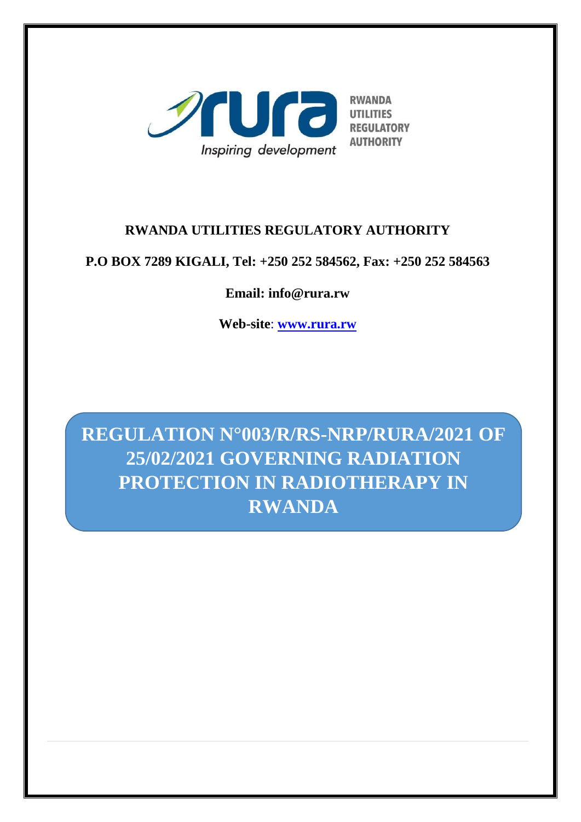

## **RWANDA UTILITIES REGULATORY AUTHORITY**

## **P.O BOX 7289 KIGALI, Tel: +250 252 584562, Fax: +250 252 584563**

## **Email: info@rura.rw**

**Web-site**: **[www.rura.rw](http://www.rura.rw/)**

**REGULATION N°003/R/RS-NRP/RURA/2021 OF 25/02/2021 GOVERNING RADIATION PROTECTION IN RADIOTHERAPY IN RWANDA**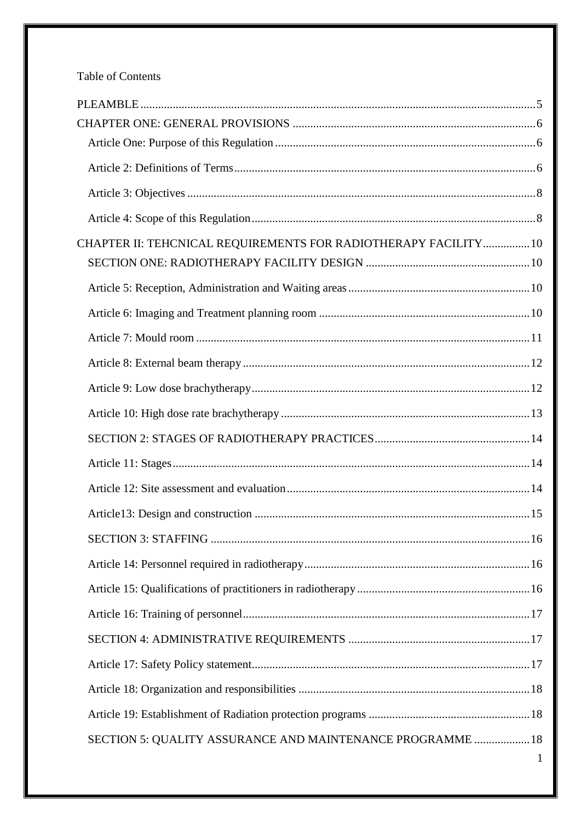## Table of Contents

| CHAPTER II: TEHCNICAL REQUIREMENTS FOR RADIOTHERAPY FACILITY 10 |  |
|-----------------------------------------------------------------|--|
|                                                                 |  |
|                                                                 |  |
|                                                                 |  |
|                                                                 |  |
|                                                                 |  |
|                                                                 |  |
|                                                                 |  |
|                                                                 |  |
|                                                                 |  |
|                                                                 |  |
|                                                                 |  |
|                                                                 |  |
|                                                                 |  |
|                                                                 |  |
|                                                                 |  |
|                                                                 |  |
|                                                                 |  |
|                                                                 |  |
|                                                                 |  |
|                                                                 |  |

 $\mathbf{1}$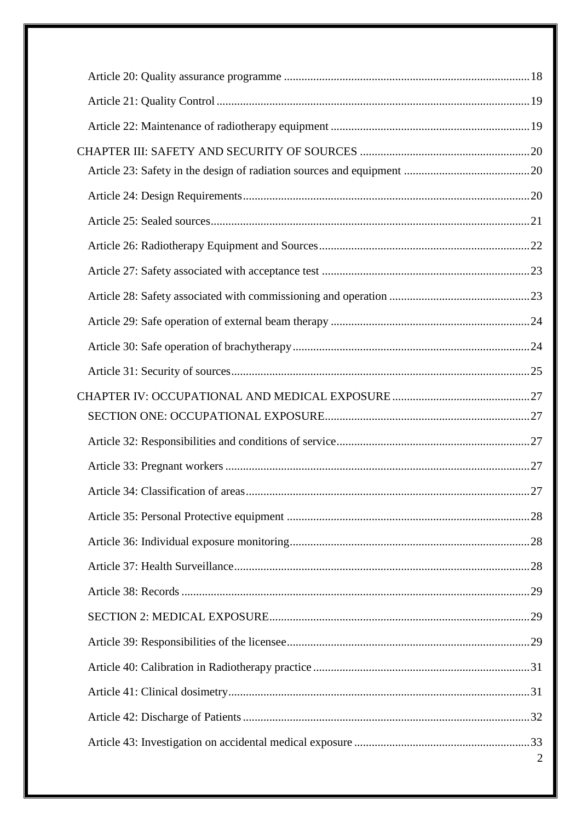| $\overline{2}$ |
|----------------|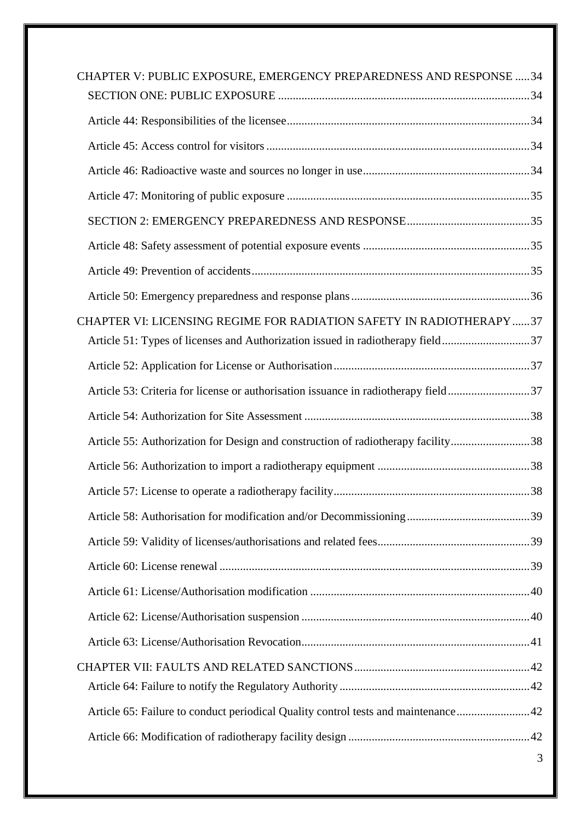| CHAPTER V: PUBLIC EXPOSURE, EMERGENCY PREPAREDNESS AND RESPONSE  34                |   |
|------------------------------------------------------------------------------------|---|
|                                                                                    |   |
|                                                                                    |   |
|                                                                                    |   |
|                                                                                    |   |
|                                                                                    |   |
|                                                                                    |   |
|                                                                                    |   |
|                                                                                    |   |
|                                                                                    |   |
| CHAPTER VI: LICENSING REGIME FOR RADIATION SAFETY IN RADIOTHERAPY 37               |   |
| Article 51: Types of licenses and Authorization issued in radiotherapy field37     |   |
|                                                                                    |   |
| Article 53: Criteria for license or authorisation issuance in radiotherapy field37 |   |
|                                                                                    |   |
| Article 55: Authorization for Design and construction of radiotherapy facility38   |   |
|                                                                                    |   |
|                                                                                    |   |
|                                                                                    |   |
|                                                                                    |   |
|                                                                                    |   |
|                                                                                    |   |
|                                                                                    |   |
|                                                                                    |   |
|                                                                                    |   |
|                                                                                    |   |
| Article 65: Failure to conduct periodical Quality control tests and maintenance42  |   |
|                                                                                    |   |
|                                                                                    | 3 |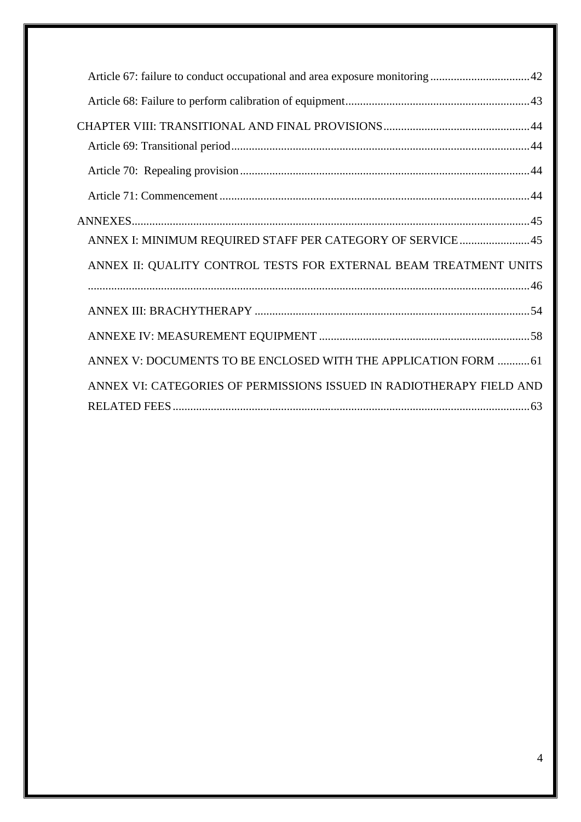| ANNEX I: MINIMUM REQUIRED STAFF PER CATEGORY OF SERVICE 45           |
|----------------------------------------------------------------------|
| ANNEX II: QUALITY CONTROL TESTS FOR EXTERNAL BEAM TREATMENT UNITS    |
|                                                                      |
|                                                                      |
| ANNEX V: DOCUMENTS TO BE ENCLOSED WITH THE APPLICATION FORM  61      |
| ANNEX VI: CATEGORIES OF PERMISSIONS ISSUED IN RADIOTHERAPY FIELD AND |
|                                                                      |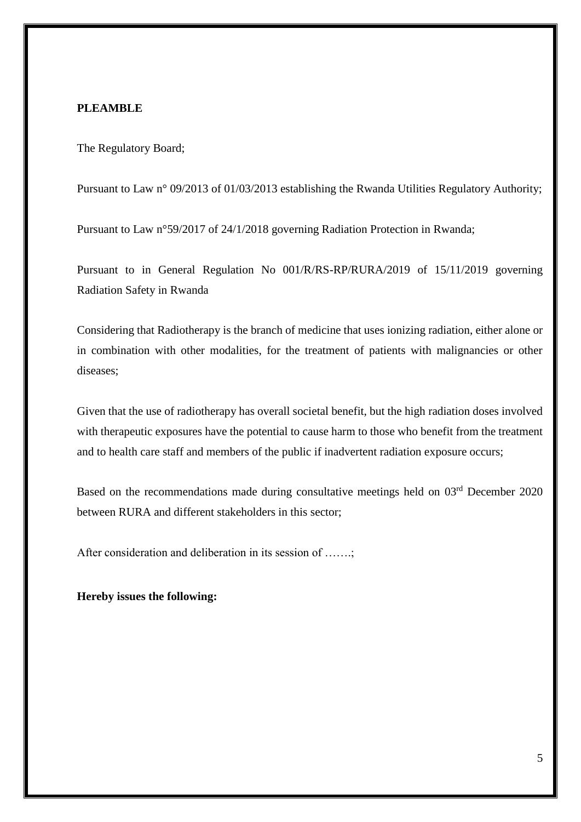## <span id="page-5-0"></span>**PLEAMBLE**

The Regulatory Board;

Pursuant to Law n° 09/2013 of 01/03/2013 establishing the Rwanda Utilities Regulatory Authority;

Pursuant to Law n°59/2017 of 24/1/2018 governing Radiation Protection in Rwanda;

Pursuant to in General Regulation No 001/R/RS-RP/RURA/2019 of 15/11/2019 governing Radiation Safety in Rwanda

Considering that Radiotherapy is the branch of medicine that uses ionizing radiation, either alone or in combination with other modalities, for the treatment of patients with malignancies or other diseases;

Given that the use of radiotherapy has overall societal benefit, but the high radiation doses involved with therapeutic exposures have the potential to cause harm to those who benefit from the treatment and to health care staff and members of the public if inadvertent radiation exposure occurs;

Based on the recommendations made during consultative meetings held on 03<sup>rd</sup> December 2020 between RURA and different stakeholders in this sector;

After consideration and deliberation in its session of …….;

**Hereby issues the following:**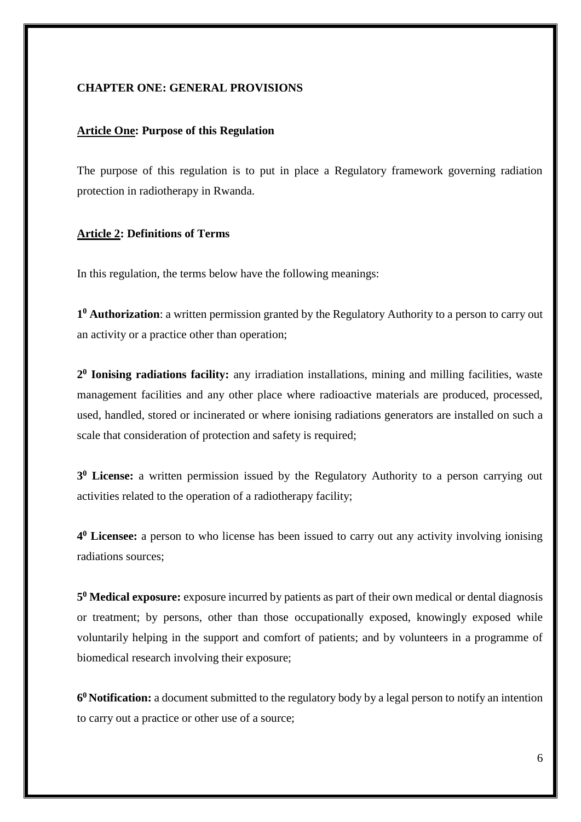#### <span id="page-6-0"></span>**CHAPTER ONE: GENERAL PROVISIONS**

#### <span id="page-6-1"></span>**Article One: Purpose of this Regulation**

The purpose of this regulation is to put in place a Regulatory framework governing radiation protection in radiotherapy in Rwanda.

#### <span id="page-6-2"></span>**Article 2: Definitions of Terms**

In this regulation, the terms below have the following meanings:

**1 <sup>0</sup> Authorization**: a written permission granted by the Regulatory Authority to a person to carry out an activity or a practice other than operation;

**2 0 Ionising radiations facility:** any irradiation installations, mining and milling facilities, waste management facilities and any other place where radioactive materials are produced, processed, used, handled, stored or incinerated or where ionising radiations generators are installed on such a scale that consideration of protection and safety is required;

**3 <sup>0</sup> License:** a written permission issued by the Regulatory Authority to a person carrying out activities related to the operation of a radiotherapy facility;

**4 <sup>0</sup> Licensee:** a person to who license has been issued to carry out any activity involving ionising radiations sources;

**5 <sup>0</sup> Medical exposure:** exposure incurred by patients as part of their own medical or dental diagnosis or treatment; by persons, other than those occupationally exposed, knowingly exposed while voluntarily helping in the support and comfort of patients; and by volunteers in a programme of biomedical research involving their exposure;

**6 <sup>0</sup>Notification:** a document submitted to the regulatory body by a legal person to notify an intention to carry out a practice or other use of a source;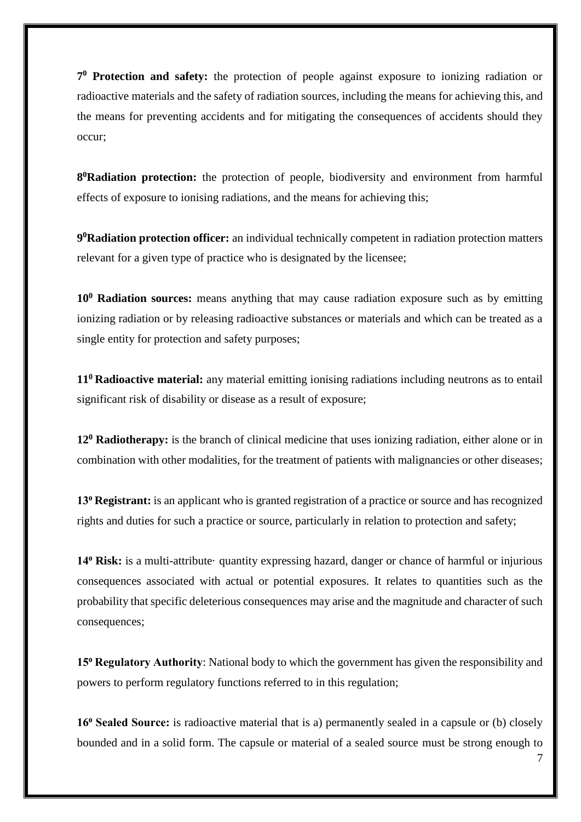**7 <sup>0</sup> Protection and safety:** the protection of people against exposure to ionizing radiation or radioactive materials and the safety of radiation sources, including the means for achieving this, and the means for preventing accidents and for mitigating the consequences of accidents should they occur;

**8 <sup>0</sup>Radiation protection:** the protection of people, biodiversity and environment from harmful effects of exposure to ionising radiations, and the means for achieving this;

**9 <sup>0</sup>Radiation protection officer:** an individual technically competent in radiation protection matters relevant for a given type of practice who is designated by the licensee;

**10<sup>0</sup> Radiation sources:** means anything that may cause radiation exposure such as by emitting ionizing radiation or by releasing radioactive substances or materials and which can be treated as a single entity for protection and safety purposes;

**11<sup>0</sup> Radioactive material:** any material emitting ionising radiations including neutrons as to entail significant risk of disability or disease as a result of exposure;

**12<sup>0</sup> Radiotherapy:** is the branch of clinical medicine that uses ionizing radiation, either alone or in combination with other modalities, for the treatment of patients with malignancies or other diseases;

**13⁰ Registrant:** is an applicant who is granted registration of a practice or source and has recognized rights and duties for such a practice or source, particularly in relation to protection and safety;

14<sup>°</sup> Risk: is a multi-attribute· quantity expressing hazard, danger or chance of harmful or injurious consequences associated with actual or potential exposures. It relates to quantities such as the probability that specific deleterious consequences may arise and the magnitude and character of such consequences;

**15<sup>°</sup> Regulatory Authority**: National body to which the government has given the responsibility and powers to perform regulatory functions referred to in this regulation;

**16<sup>°</sup> Sealed Source:** is radioactive material that is a) permanently sealed in a capsule or (b) closely bounded and in a solid form. The capsule or material of a sealed source must be strong enough to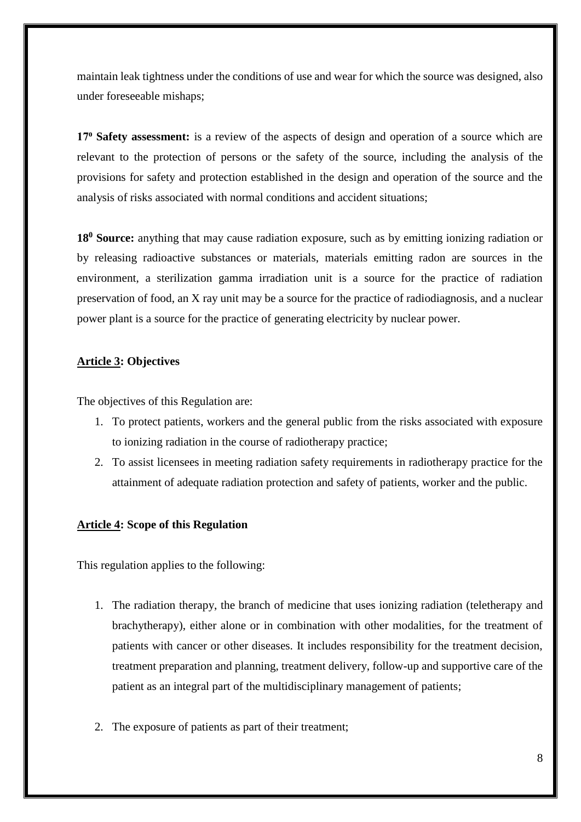maintain leak tightness under the conditions of use and wear for which the source was designed, also under foreseeable mishaps;

**17⁰ Safety assessment:** is a review of the aspects of design and operation of a source which are relevant to the protection of persons or the safety of the source, including the analysis of the provisions for safety and protection established in the design and operation of the source and the analysis of risks associated with normal conditions and accident situations;

**18<sup>0</sup> Source:** anything that may cause radiation exposure, such as by emitting ionizing radiation or by releasing radioactive substances or materials, materials emitting radon are sources in the environment, a sterilization gamma irradiation unit is a source for the practice of radiation preservation of food, an X ray unit may be a source for the practice of radiodiagnosis, and a nuclear power plant is a source for the practice of generating electricity by nuclear power.

## <span id="page-8-0"></span>**Article 3: Objectives**

The objectives of this Regulation are:

- 1. To protect patients, workers and the general public from the risks associated with exposure to ionizing radiation in the course of radiotherapy practice;
- 2. To assist licensees in meeting radiation safety requirements in radiotherapy practice for the attainment of adequate radiation protection and safety of patients, worker and the public.

## <span id="page-8-1"></span>**Article 4: Scope of this Regulation**

This regulation applies to the following:

- 1. The radiation therapy, the branch of medicine that uses ionizing radiation (teletherapy and brachytherapy), either alone or in combination with other modalities, for the treatment of patients with cancer or other diseases. It includes responsibility for the treatment decision, treatment preparation and planning, treatment delivery, follow-up and supportive care of the patient as an integral part of the multidisciplinary management of patients;
- 2. The exposure of patients as part of their treatment;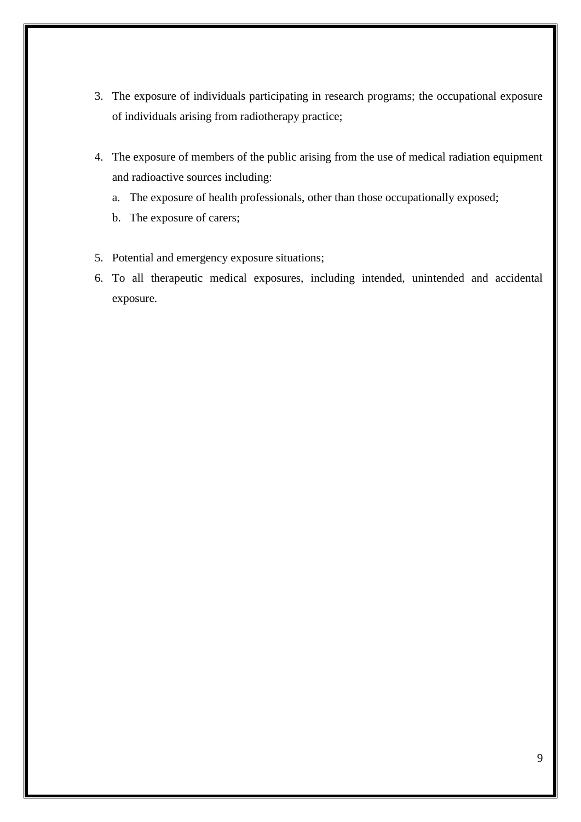- 3. The exposure of individuals participating in research programs; the occupational exposure of individuals arising from radiotherapy practice;
- 4. The exposure of members of the public arising from the use of medical radiation equipment and radioactive sources including:
	- a. The exposure of health professionals, other than those occupationally exposed;
	- b. The exposure of carers;
- 5. Potential and emergency exposure situations;
- 6. To all therapeutic medical exposures, including intended, unintended and accidental exposure.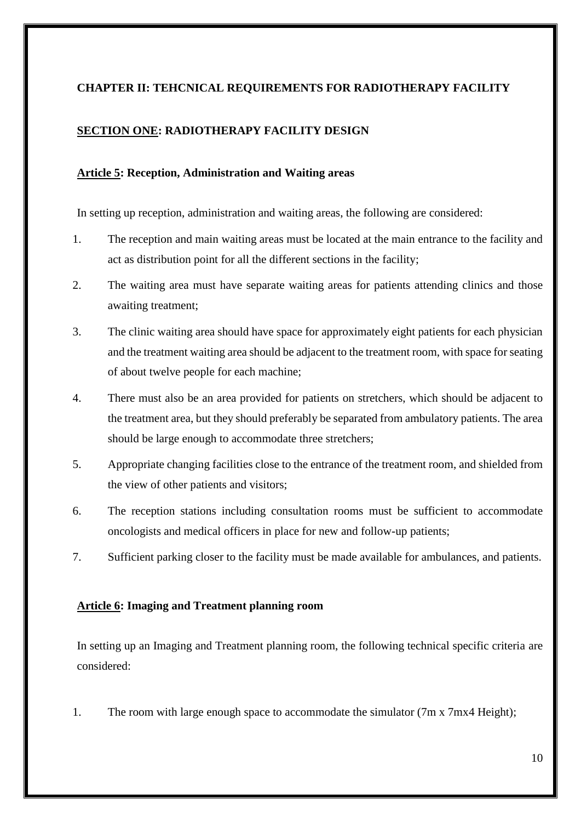## <span id="page-10-0"></span>**CHAPTER II: TEHCNICAL REQUIREMENTS FOR RADIOTHERAPY FACILITY**

## <span id="page-10-1"></span>**SECTION ONE: RADIOTHERAPY FACILITY DESIGN**

#### <span id="page-10-2"></span>**Article 5: Reception, Administration and Waiting areas**

In setting up reception, administration and waiting areas, the following are considered:

- 1. The reception and main waiting areas must be located at the main entrance to the facility and act as distribution point for all the different sections in the facility;
- 2. The waiting area must have separate waiting areas for patients attending clinics and those awaiting treatment;
- 3. The clinic waiting area should have space for approximately eight patients for each physician and the treatment waiting area should be adjacent to the treatment room, with space for seating of about twelve people for each machine;
- 4. There must also be an area provided for patients on stretchers, which should be adjacent to the treatment area, but they should preferably be separated from ambulatory patients. The area should be large enough to accommodate three stretchers;
- 5. Appropriate changing facilities close to the entrance of the treatment room, and shielded from the view of other patients and visitors;
- 6. The reception stations including consultation rooms must be sufficient to accommodate oncologists and medical officers in place for new and follow-up patients;
- 7. Sufficient parking closer to the facility must be made available for ambulances, and patients.

## <span id="page-10-3"></span>**Article 6: Imaging and Treatment planning room**

In setting up an Imaging and Treatment planning room, the following technical specific criteria are considered:

1. The room with large enough space to accommodate the simulator (7m x 7mx4 Height);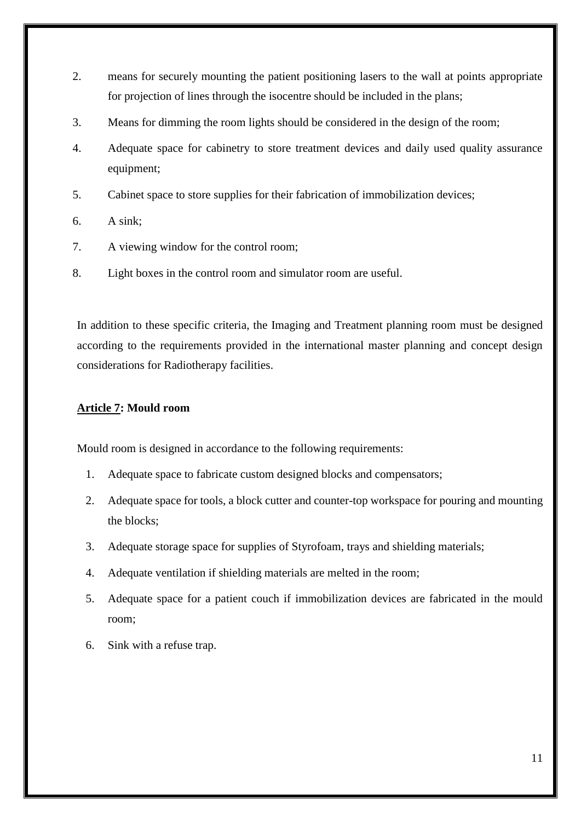- 2. means for securely mounting the patient positioning lasers to the wall at points appropriate for projection of lines through the isocentre should be included in the plans;
- 3. Means for dimming the room lights should be considered in the design of the room;
- 4. Adequate space for cabinetry to store treatment devices and daily used quality assurance equipment;
- 5. Cabinet space to store supplies for their fabrication of immobilization devices;
- 6. A sink;
- 7. A viewing window for the control room;
- 8. Light boxes in the control room and simulator room are useful.

In addition to these specific criteria, the Imaging and Treatment planning room must be designed according to the requirements provided in the international master planning and concept design considerations for Radiotherapy facilities.

## <span id="page-11-0"></span>**Article 7: Mould room**

Mould room is designed in accordance to the following requirements:

- 1. Adequate space to fabricate custom designed blocks and compensators;
- 2. Adequate space for tools, a block cutter and counter-top workspace for pouring and mounting the blocks;
- 3. Adequate storage space for supplies of Styrofoam, trays and shielding materials;
- 4. Adequate ventilation if shielding materials are melted in the room;
- 5. Adequate space for a patient couch if immobilization devices are fabricated in the mould room;
- 6. Sink with a refuse trap.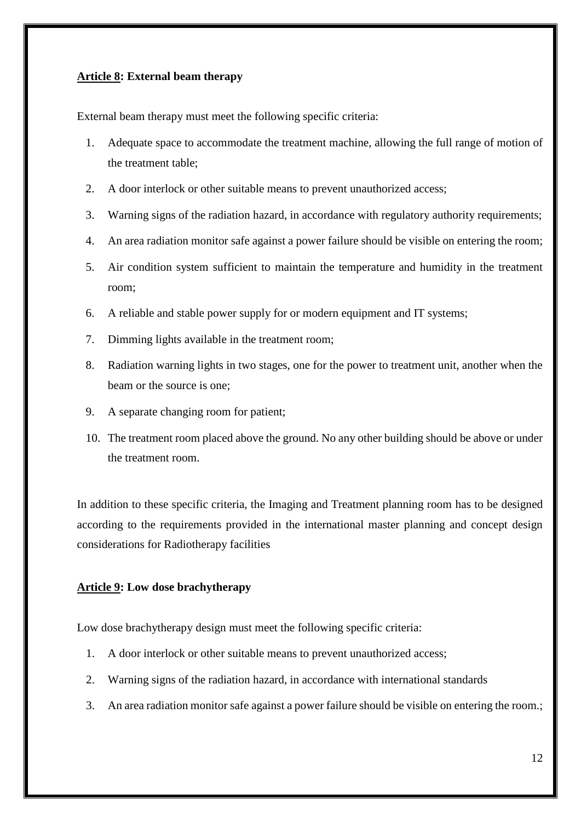#### <span id="page-12-0"></span>**Article 8: External beam therapy**

External beam therapy must meet the following specific criteria:

- 1. Adequate space to accommodate the treatment machine, allowing the full range of motion of the treatment table;
- 2. A door interlock or other suitable means to prevent unauthorized access;
- 3. Warning signs of the radiation hazard, in accordance with regulatory authority requirements;
- 4. An area radiation monitor safe against a power failure should be visible on entering the room;
- 5. Air condition system sufficient to maintain the temperature and humidity in the treatment room;
- 6. A reliable and stable power supply for or modern equipment and IT systems;
- 7. Dimming lights available in the treatment room;
- 8. Radiation warning lights in two stages, one for the power to treatment unit, another when the beam or the source is one;
- 9. A separate changing room for patient;
- 10. The treatment room placed above the ground. No any other building should be above or under the treatment room.

In addition to these specific criteria, the Imaging and Treatment planning room has to be designed according to the requirements provided in the international master planning and concept design considerations for Radiotherapy facilities

#### <span id="page-12-1"></span>**Article 9: Low dose brachytherapy**

Low dose brachytherapy design must meet the following specific criteria:

- 1. A door interlock or other suitable means to prevent unauthorized access;
- 2. Warning signs of the radiation hazard, in accordance with international standards
- 3. An area radiation monitor safe against a power failure should be visible on entering the room.;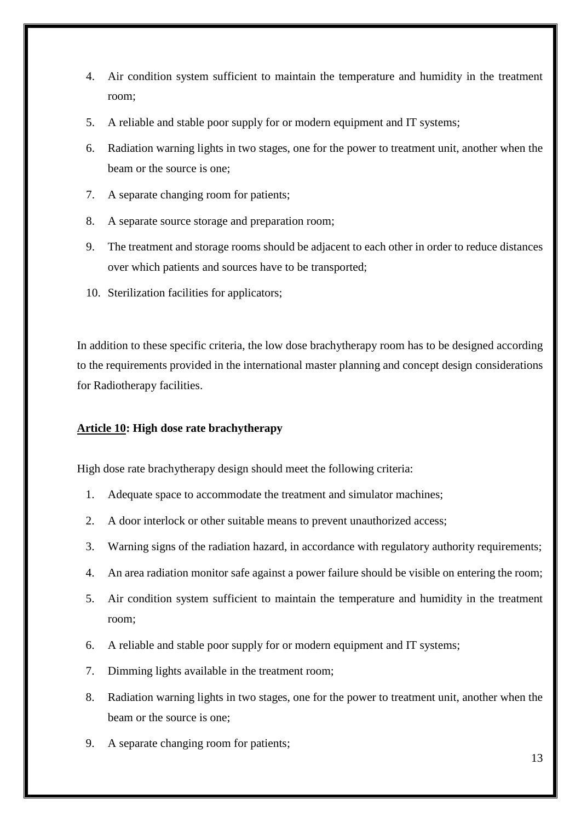- 4. Air condition system sufficient to maintain the temperature and humidity in the treatment room;
- 5. A reliable and stable poor supply for or modern equipment and IT systems;
- 6. Radiation warning lights in two stages, one for the power to treatment unit, another when the beam or the source is one;
- 7. A separate changing room for patients;
- 8. A separate source storage and preparation room;
- 9. The treatment and storage rooms should be adjacent to each other in order to reduce distances over which patients and sources have to be transported;
- 10. Sterilization facilities for applicators;

In addition to these specific criteria, the low dose brachytherapy room has to be designed according to the requirements provided in the international master planning and concept design considerations for Radiotherapy facilities.

#### <span id="page-13-0"></span>**Article 10: High dose rate brachytherapy**

High dose rate brachytherapy design should meet the following criteria:

- 1. Adequate space to accommodate the treatment and simulator machines;
- 2. A door interlock or other suitable means to prevent unauthorized access;
- 3. Warning signs of the radiation hazard, in accordance with regulatory authority requirements;
- 4. An area radiation monitor safe against a power failure should be visible on entering the room;
- 5. Air condition system sufficient to maintain the temperature and humidity in the treatment room;
- 6. A reliable and stable poor supply for or modern equipment and IT systems;
- 7. Dimming lights available in the treatment room;
- 8. Radiation warning lights in two stages, one for the power to treatment unit, another when the beam or the source is one;
- 9. A separate changing room for patients;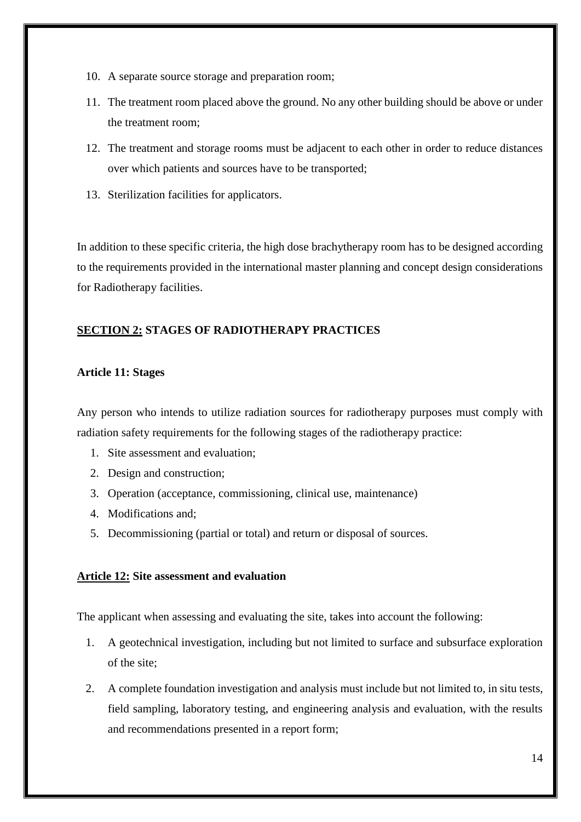- 10. A separate source storage and preparation room;
- 11. The treatment room placed above the ground. No any other building should be above or under the treatment room;
- 12. The treatment and storage rooms must be adjacent to each other in order to reduce distances over which patients and sources have to be transported;
- 13. Sterilization facilities for applicators.

In addition to these specific criteria, the high dose brachytherapy room has to be designed according to the requirements provided in the international master planning and concept design considerations for Radiotherapy facilities.

## <span id="page-14-0"></span>**SECTION 2: STAGES OF RADIOTHERAPY PRACTICES**

## <span id="page-14-1"></span>**Article 11: Stages**

Any person who intends to utilize radiation sources for radiotherapy purposes must comply with radiation safety requirements for the following stages of the radiotherapy practice:

- 1. Site assessment and evaluation;
- 2. Design and construction;
- 3. Operation (acceptance, commissioning, clinical use, maintenance)
- 4. Modifications and;
- 5. Decommissioning (partial or total) and return or disposal of sources.

## <span id="page-14-2"></span>**Article 12: Site assessment and evaluation**

The applicant when assessing and evaluating the site, takes into account the following:

- 1. A geotechnical investigation, including but not limited to surface and subsurface exploration of the site;
- 2. A complete foundation investigation and analysis must include but not limited to, in situ tests, field sampling, laboratory testing, and engineering analysis and evaluation, with the results and recommendations presented in a report form;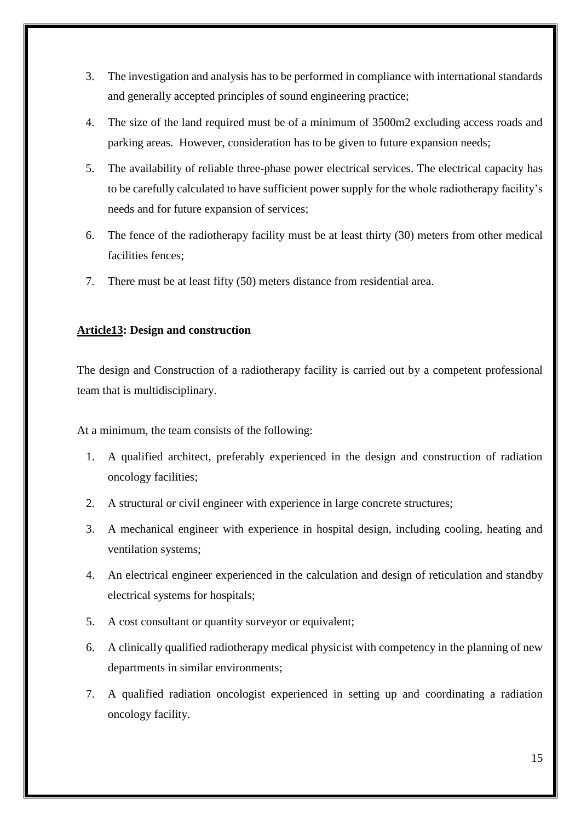- 3. The investigation and analysis has to be performed in compliance with international standards and generally accepted principles of sound engineering practice;
- 4. The size of the land required must be of a minimum of 3500m2 excluding access roads and parking areas. However, consideration has to be given to future expansion needs;
- 5. The availability of reliable three-phase power electrical services. The electrical capacity has to be carefully calculated to have sufficient power supply for the whole radiotherapy facility's needs and for future expansion of services;
- 6. The fence of the radiotherapy facility must be at least thirty (30) meters from other medical facilities fences;
- 7. There must be at least fifty (50) meters distance from residential area.

## <span id="page-15-0"></span>**Article13: Design and construction**

The design and Construction of a radiotherapy facility is carried out by a competent professional team that is multidisciplinary.

At a minimum, the team consists of the following:

- 1. A qualified architect, preferably experienced in the design and construction of radiation oncology facilities;
- 2. A structural or civil engineer with experience in large concrete structures;
- 3. A mechanical engineer with experience in hospital design, including cooling, heating and ventilation systems;
- 4. An electrical engineer experienced in the calculation and design of reticulation and standby electrical systems for hospitals;
- 5. A cost consultant or quantity surveyor or equivalent;
- 6. A clinically qualified radiotherapy medical physicist with competency in the planning of new departments in similar environments;
- 7. A qualified radiation oncologist experienced in setting up and coordinating a radiation oncology facility.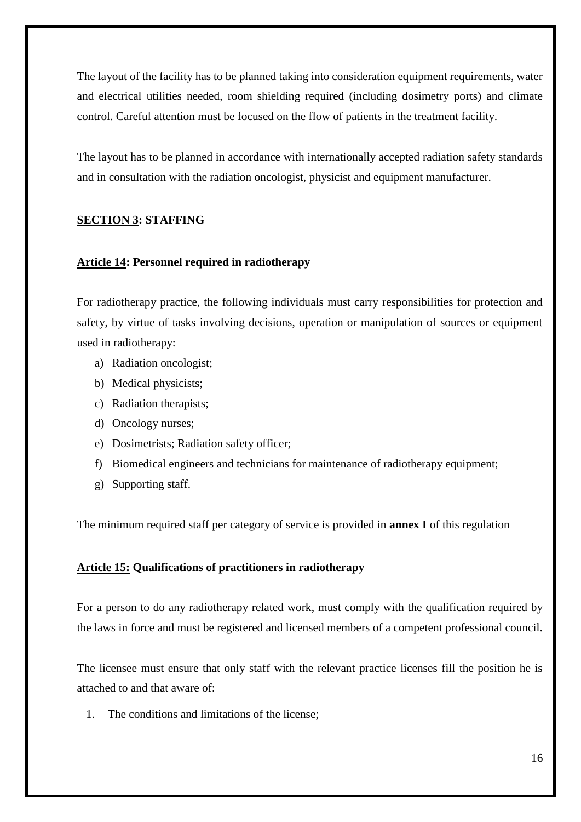The layout of the facility has to be planned taking into consideration equipment requirements, water and electrical utilities needed, room shielding required (including dosimetry ports) and climate control. Careful attention must be focused on the flow of patients in the treatment facility.

The layout has to be planned in accordance with internationally accepted radiation safety standards and in consultation with the radiation oncologist, physicist and equipment manufacturer.

## <span id="page-16-0"></span>**SECTION 3: STAFFING**

#### <span id="page-16-1"></span>**Article 14: Personnel required in radiotherapy**

For radiotherapy practice, the following individuals must carry responsibilities for protection and safety, by virtue of tasks involving decisions, operation or manipulation of sources or equipment used in radiotherapy:

- a) Radiation oncologist;
- b) Medical physicists;
- c) Radiation therapists;
- d) Oncology nurses;
- e) Dosimetrists; Radiation safety officer;
- f) Biomedical engineers and technicians for maintenance of radiotherapy equipment;
- g) Supporting staff.

The minimum required staff per category of service is provided in **annex I** of this regulation

#### <span id="page-16-2"></span>**Article 15: Qualifications of practitioners in radiotherapy**

For a person to do any radiotherapy related work, must comply with the qualification required by the laws in force and must be registered and licensed members of a competent professional council.

The licensee must ensure that only staff with the relevant practice licenses fill the position he is attached to and that aware of:

1. The conditions and limitations of the license;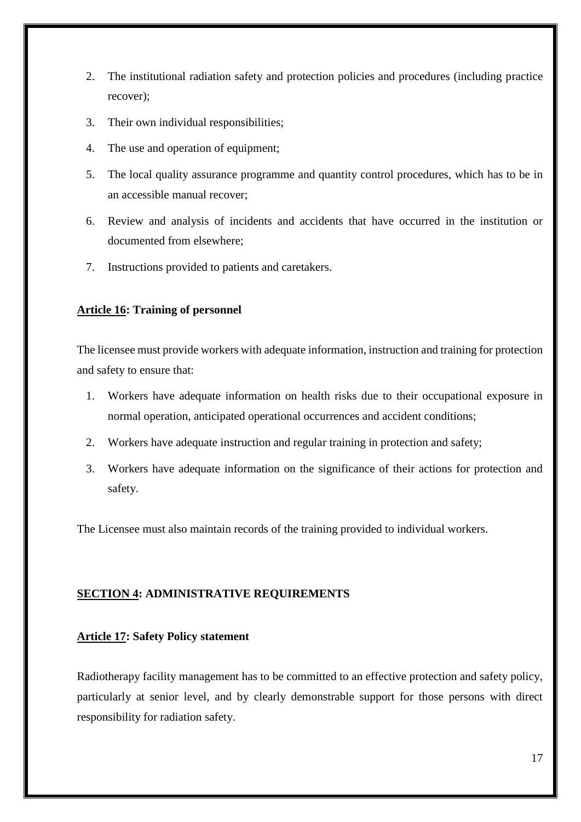- 2. The institutional radiation safety and protection policies and procedures (including practice recover);
- 3. Their own individual responsibilities;
- 4. The use and operation of equipment;
- 5. The local quality assurance programme and quantity control procedures, which has to be in an accessible manual recover;
- 6. Review and analysis of incidents and accidents that have occurred in the institution or documented from elsewhere;
- 7. Instructions provided to patients and caretakers.

## <span id="page-17-0"></span>**Article 16: Training of personnel**

The licensee must provide workers with adequate information, instruction and training for protection and safety to ensure that:

- 1. Workers have adequate information on health risks due to their occupational exposure in normal operation, anticipated operational occurrences and accident conditions;
- 2. Workers have adequate instruction and regular training in protection and safety;
- 3. Workers have adequate information on the significance of their actions for protection and safety.

The Licensee must also maintain records of the training provided to individual workers.

## <span id="page-17-1"></span>**SECTION 4: ADMINISTRATIVE REQUIREMENTS**

## <span id="page-17-2"></span>**Article 17: Safety Policy statement**

Radiotherapy facility management has to be committed to an effective protection and safety policy, particularly at senior level, and by clearly demonstrable support for those persons with direct responsibility for radiation safety.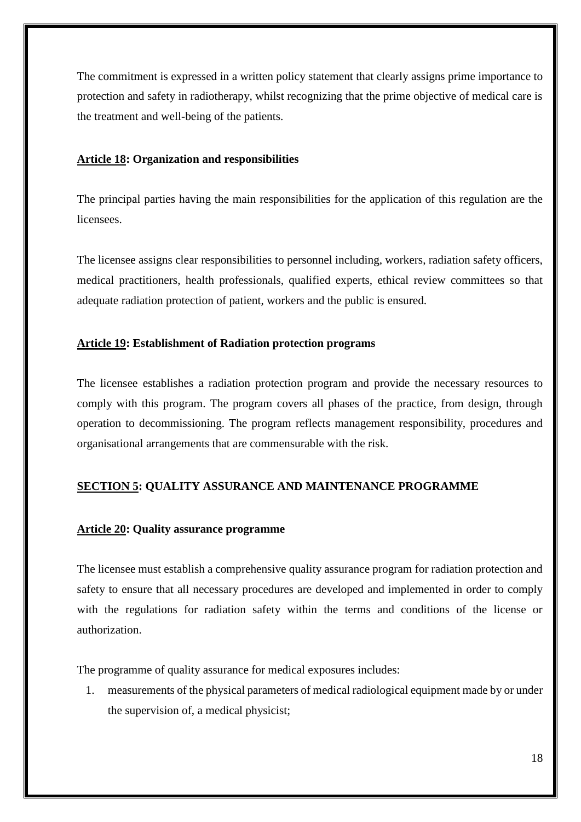The commitment is expressed in a written policy statement that clearly assigns prime importance to protection and safety in radiotherapy, whilst recognizing that the prime objective of medical care is the treatment and well-being of the patients.

## <span id="page-18-0"></span>**Article 18: Organization and responsibilities**

The principal parties having the main responsibilities for the application of this regulation are the licensees.

The licensee assigns clear responsibilities to personnel including, workers, radiation safety officers, medical practitioners, health professionals, qualified experts, ethical review committees so that adequate radiation protection of patient, workers and the public is ensured.

## <span id="page-18-1"></span>**Article 19: Establishment of Radiation protection programs**

The licensee establishes a radiation protection program and provide the necessary resources to comply with this program. The program covers all phases of the practice, from design, through operation to decommissioning. The program reflects management responsibility, procedures and organisational arrangements that are commensurable with the risk.

## <span id="page-18-2"></span>**SECTION 5: QUALITY ASSURANCE AND MAINTENANCE PROGRAMME**

## <span id="page-18-3"></span>**Article 20: Quality assurance programme**

The licensee must establish a comprehensive quality assurance program for radiation protection and safety to ensure that all necessary procedures are developed and implemented in order to comply with the regulations for radiation safety within the terms and conditions of the license or authorization.

The programme of quality assurance for medical exposures includes:

1. measurements of the physical parameters of medical radiological equipment made by or under the supervision of, a medical physicist;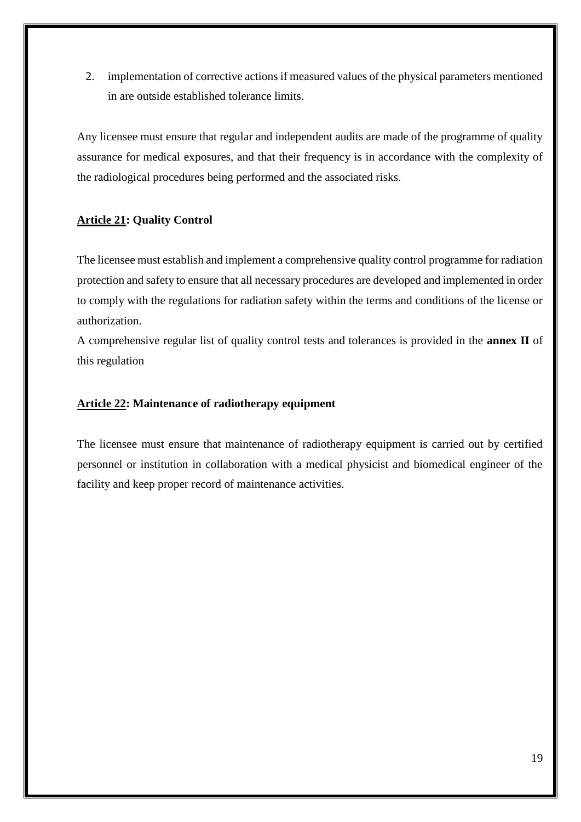2. implementation of corrective actions if measured values of the physical parameters mentioned in are outside established tolerance limits.

Any licensee must ensure that regular and independent audits are made of the programme of quality assurance for medical exposures, and that their frequency is in accordance with the complexity of the radiological procedures being performed and the associated risks.

## <span id="page-19-0"></span>**Article 21: Quality Control**

The licensee must establish and implement a comprehensive quality control programme for radiation protection and safety to ensure that all necessary procedures are developed and implemented in order to comply with the regulations for radiation safety within the terms and conditions of the license or authorization.

A comprehensive regular list of quality control tests and tolerances is provided in the **annex II** of this regulation

## <span id="page-19-1"></span>**Article 22: Maintenance of radiotherapy equipment**

The licensee must ensure that maintenance of radiotherapy equipment is carried out by certified personnel or institution in collaboration with a medical physicist and biomedical engineer of the facility and keep proper record of maintenance activities.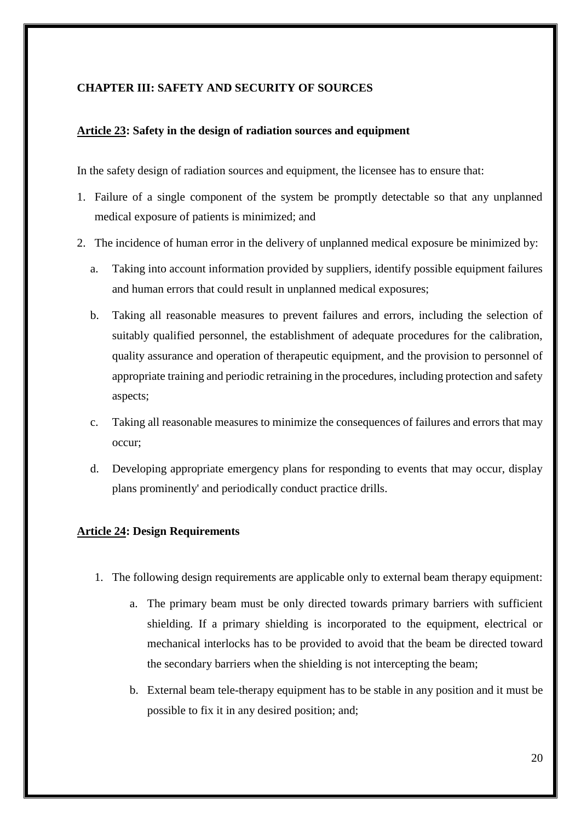## <span id="page-20-0"></span>**CHAPTER III: SAFETY AND SECURITY OF SOURCES**

## <span id="page-20-1"></span>**Article 23: Safety in the design of radiation sources and equipment**

In the safety design of radiation sources and equipment, the licensee has to ensure that:

- 1. Failure of a single component of the system be promptly detectable so that any unplanned medical exposure of patients is minimized; and
- 2. The incidence of human error in the delivery of unplanned medical exposure be minimized by:
	- a. Taking into account information provided by suppliers, identify possible equipment failures and human errors that could result in unplanned medical exposures;
	- b. Taking all reasonable measures to prevent failures and errors, including the selection of suitably qualified personnel, the establishment of adequate procedures for the calibration, quality assurance and operation of therapeutic equipment, and the provision to personnel of appropriate training and periodic retraining in the procedures, including protection and safety aspects;
	- c. Taking all reasonable measures to minimize the consequences of failures and errors that may occur;
	- d. Developing appropriate emergency plans for responding to events that may occur, display plans prominently' and periodically conduct practice drills.

## <span id="page-20-2"></span>**Article 24: Design Requirements**

- 1. The following design requirements are applicable only to external beam therapy equipment:
	- a. The primary beam must be only directed towards primary barriers with sufficient shielding. If a primary shielding is incorporated to the equipment, electrical or mechanical interlocks has to be provided to avoid that the beam be directed toward the secondary barriers when the shielding is not intercepting the beam;
	- b. External beam tele-therapy equipment has to be stable in any position and it must be possible to fix it in any desired position; and;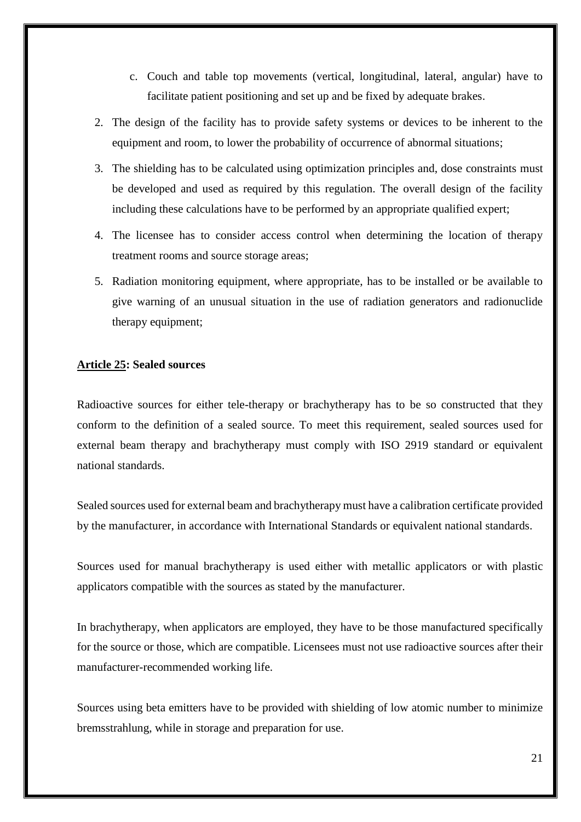- c. Couch and table top movements (vertical, longitudinal, lateral, angular) have to facilitate patient positioning and set up and be fixed by adequate brakes.
- 2. The design of the facility has to provide safety systems or devices to be inherent to the equipment and room, to lower the probability of occurrence of abnormal situations;
- 3. The shielding has to be calculated using optimization principles and, dose constraints must be developed and used as required by this regulation. The overall design of the facility including these calculations have to be performed by an appropriate qualified expert;
- 4. The licensee has to consider access control when determining the location of therapy treatment rooms and source storage areas;
- 5. Radiation monitoring equipment, where appropriate, has to be installed or be available to give warning of an unusual situation in the use of radiation generators and radionuclide therapy equipment;

## <span id="page-21-0"></span>**Article 25: Sealed sources**

Radioactive sources for either tele-therapy or brachytherapy has to be so constructed that they conform to the definition of a sealed source. To meet this requirement, sealed sources used for external beam therapy and brachytherapy must comply with ISO 2919 standard or equivalent national standards.

Sealed sources used for external beam and brachytherapy must have a calibration certificate provided by the manufacturer, in accordance with International Standards or equivalent national standards.

Sources used for manual brachytherapy is used either with metallic applicators or with plastic applicators compatible with the sources as stated by the manufacturer.

In brachytherapy, when applicators are employed, they have to be those manufactured specifically for the source or those, which are compatible. Licensees must not use radioactive sources after their manufacturer-recommended working life.

Sources using beta emitters have to be provided with shielding of low atomic number to minimize bremsstrahlung, while in storage and preparation for use.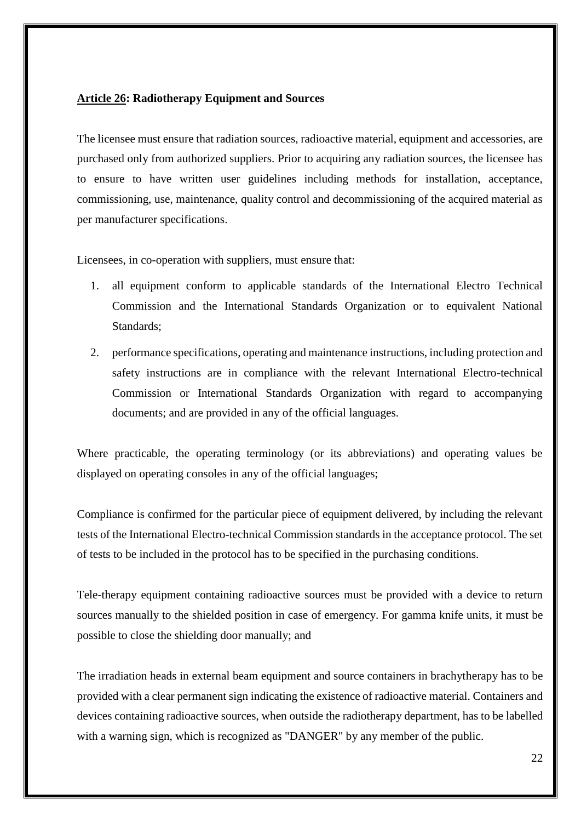## <span id="page-22-0"></span>**Article 26: Radiotherapy Equipment and Sources**

The licensee must ensure that radiation sources, radioactive material, equipment and accessories, are purchased only from authorized suppliers. Prior to acquiring any radiation sources, the licensee has to ensure to have written user guidelines including methods for installation, acceptance, commissioning, use, maintenance, quality control and decommissioning of the acquired material as per manufacturer specifications.

Licensees, in co-operation with suppliers, must ensure that:

- 1. all equipment conform to applicable standards of the International Electro Technical Commission and the International Standards Organization or to equivalent National Standards;
- 2. performance specifications, operating and maintenance instructions, including protection and safety instructions are in compliance with the relevant International Electro-technical Commission or International Standards Organization with regard to accompanying documents; and are provided in any of the official languages.

Where practicable, the operating terminology (or its abbreviations) and operating values be displayed on operating consoles in any of the official languages;

Compliance is confirmed for the particular piece of equipment delivered, by including the relevant tests of the International Electro-technical Commission standards in the acceptance protocol. The set of tests to be included in the protocol has to be specified in the purchasing conditions.

Tele-therapy equipment containing radioactive sources must be provided with a device to return sources manually to the shielded position in case of emergency. For gamma knife units, it must be possible to close the shielding door manually; and

The irradiation heads in external beam equipment and source containers in brachytherapy has to be provided with a clear permanent sign indicating the existence of radioactive material. Containers and devices containing radioactive sources, when outside the radiotherapy department, has to be labelled with a warning sign, which is recognized as "DANGER" by any member of the public.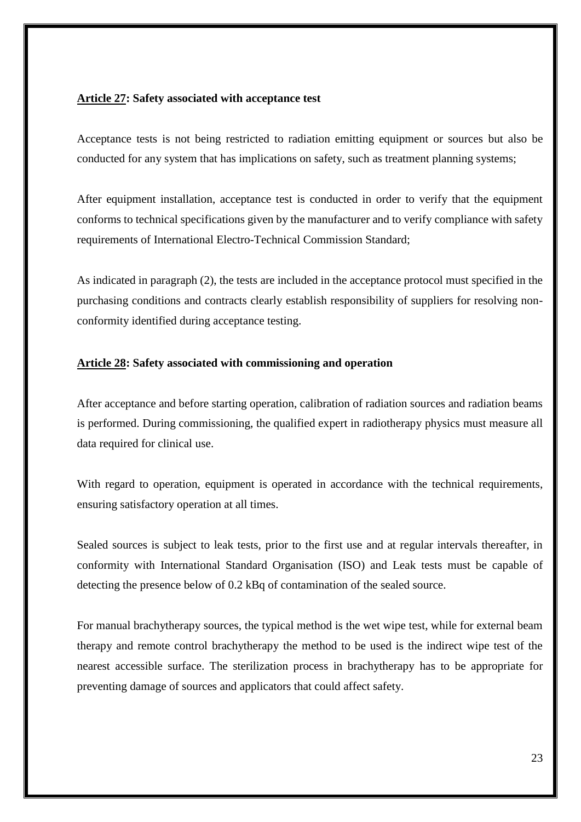## <span id="page-23-0"></span>**Article 27: Safety associated with acceptance test**

Acceptance tests is not being restricted to radiation emitting equipment or sources but also be conducted for any system that has implications on safety, such as treatment planning systems;

After equipment installation, acceptance test is conducted in order to verify that the equipment conforms to technical specifications given by the manufacturer and to verify compliance with safety requirements of International Electro-Technical Commission Standard;

As indicated in paragraph (2), the tests are included in the acceptance protocol must specified in the purchasing conditions and contracts clearly establish responsibility of suppliers for resolving nonconformity identified during acceptance testing.

## <span id="page-23-1"></span>**Article 28: Safety associated with commissioning and operation**

After acceptance and before starting operation, calibration of radiation sources and radiation beams is performed. During commissioning, the qualified expert in radiotherapy physics must measure all data required for clinical use.

With regard to operation, equipment is operated in accordance with the technical requirements, ensuring satisfactory operation at all times.

Sealed sources is subject to leak tests, prior to the first use and at regular intervals thereafter, in conformity with International Standard Organisation (ISO) and Leak tests must be capable of detecting the presence below of 0.2 kBq of contamination of the sealed source.

For manual brachytherapy sources, the typical method is the wet wipe test, while for external beam therapy and remote control brachytherapy the method to be used is the indirect wipe test of the nearest accessible surface. The sterilization process in brachytherapy has to be appropriate for preventing damage of sources and applicators that could affect safety.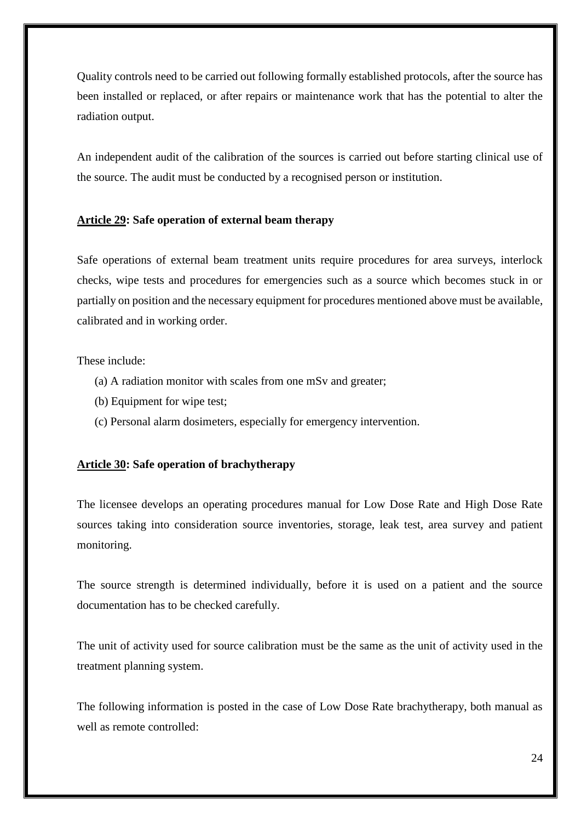Quality controls need to be carried out following formally established protocols, after the source has been installed or replaced, or after repairs or maintenance work that has the potential to alter the radiation output.

An independent audit of the calibration of the sources is carried out before starting clinical use of the source. The audit must be conducted by a recognised person or institution.

## <span id="page-24-0"></span>**Article 29: Safe operation of external beam therapy**

Safe operations of external beam treatment units require procedures for area surveys, interlock checks, wipe tests and procedures for emergencies such as a source which becomes stuck in or partially on position and the necessary equipment for procedures mentioned above must be available, calibrated and in working order.

## These include:

- (a) A radiation monitor with scales from one mSv and greater;
- (b) Equipment for wipe test;
- (c) Personal alarm dosimeters, especially for emergency intervention.

## <span id="page-24-1"></span>**Article 30: Safe operation of brachytherapy**

The licensee develops an operating procedures manual for Low Dose Rate and High Dose Rate sources taking into consideration source inventories, storage, leak test, area survey and patient monitoring.

The source strength is determined individually, before it is used on a patient and the source documentation has to be checked carefully.

The unit of activity used for source calibration must be the same as the unit of activity used in the treatment planning system.

The following information is posted in the case of Low Dose Rate brachytherapy, both manual as well as remote controlled: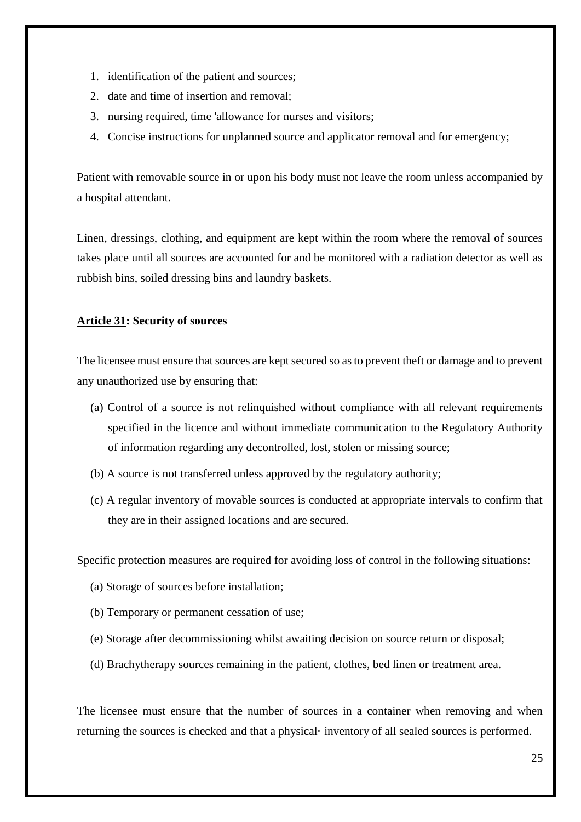- 1. identification of the patient and sources;
- 2. date and time of insertion and removal;
- 3. nursing required, time 'allowance for nurses and visitors;
- 4. Concise instructions for unplanned source and applicator removal and for emergency;

Patient with removable source in or upon his body must not leave the room unless accompanied by a hospital attendant.

Linen, dressings, clothing, and equipment are kept within the room where the removal of sources takes place until all sources are accounted for and be monitored with a radiation detector as well as rubbish bins, soiled dressing bins and laundry baskets.

#### <span id="page-25-0"></span>**Article 31: Security of sources**

The licensee must ensure that sources are kept secured so as to prevent theft or damage and to prevent any unauthorized use by ensuring that:

- (a) Control of a source is not relinquished without compliance with all relevant requirements specified in the licence and without immediate communication to the Regulatory Authority of information regarding any decontrolled, lost, stolen or missing source;
- (b) A source is not transferred unless approved by the regulatory authority;
- (c) A regular inventory of movable sources is conducted at appropriate intervals to confirm that they are in their assigned locations and are secured.

Specific protection measures are required for avoiding loss of control in the following situations:

- (a) Storage of sources before installation;
- (b) Temporary or permanent cessation of use;
- (e) Storage after decommissioning whilst awaiting decision on source return or disposal;
- (d) Brachytherapy sources remaining in the patient, clothes, bed linen or treatment area.

The licensee must ensure that the number of sources in a container when removing and when returning the sources is checked and that a physical· inventory of all sealed sources is performed.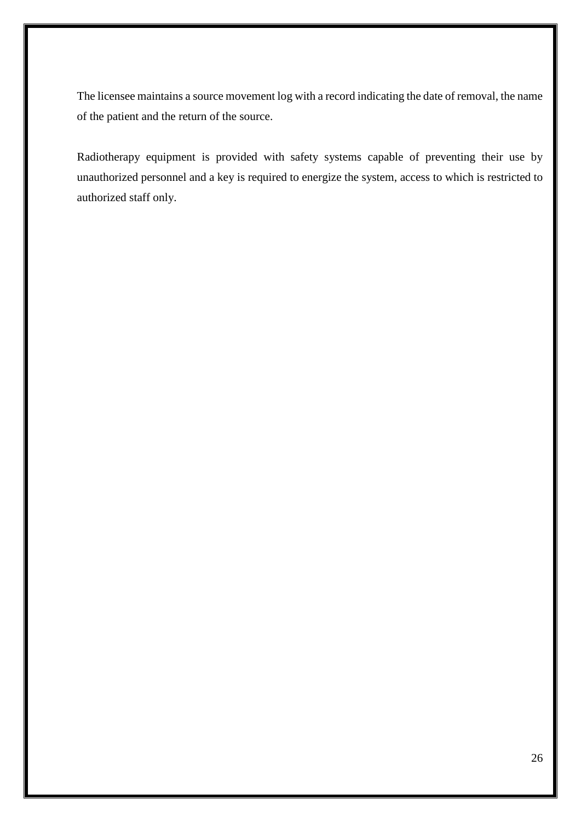The licensee maintains a source movement log with a record indicating the date of removal, the name of the patient and the return of the source.

Radiotherapy equipment is provided with safety systems capable of preventing their use by unauthorized personnel and a key is required to energize the system, access to which is restricted to authorized staff only.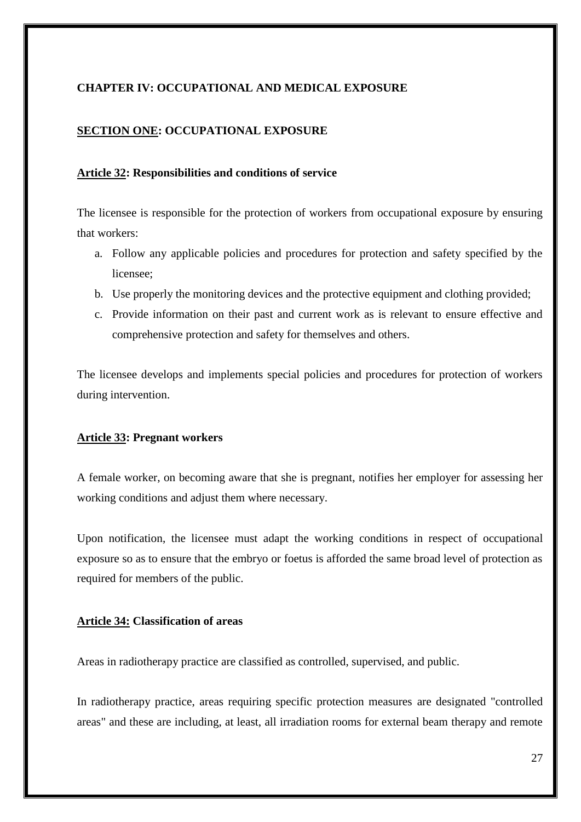## <span id="page-27-0"></span>**CHAPTER IV: OCCUPATIONAL AND MEDICAL EXPOSURE**

## <span id="page-27-1"></span>**SECTION ONE: OCCUPATIONAL EXPOSURE**

#### <span id="page-27-2"></span>**Article 32: Responsibilities and conditions of service**

The licensee is responsible for the protection of workers from occupational exposure by ensuring that workers:

- a. Follow any applicable policies and procedures for protection and safety specified by the licensee;
- b. Use properly the monitoring devices and the protective equipment and clothing provided;
- c. Provide information on their past and current work as is relevant to ensure effective and comprehensive protection and safety for themselves and others.

The licensee develops and implements special policies and procedures for protection of workers during intervention.

#### <span id="page-27-3"></span>**Article 33: Pregnant workers**

A female worker, on becoming aware that she is pregnant, notifies her employer for assessing her working conditions and adjust them where necessary.

Upon notification, the licensee must adapt the working conditions in respect of occupational exposure so as to ensure that the embryo or foetus is afforded the same broad level of protection as required for members of the public.

#### <span id="page-27-4"></span>**Article 34: Classification of areas**

Areas in radiotherapy practice are classified as controlled, supervised, and public.

In radiotherapy practice, areas requiring specific protection measures are designated "controlled areas" and these are including, at least, all irradiation rooms for external beam therapy and remote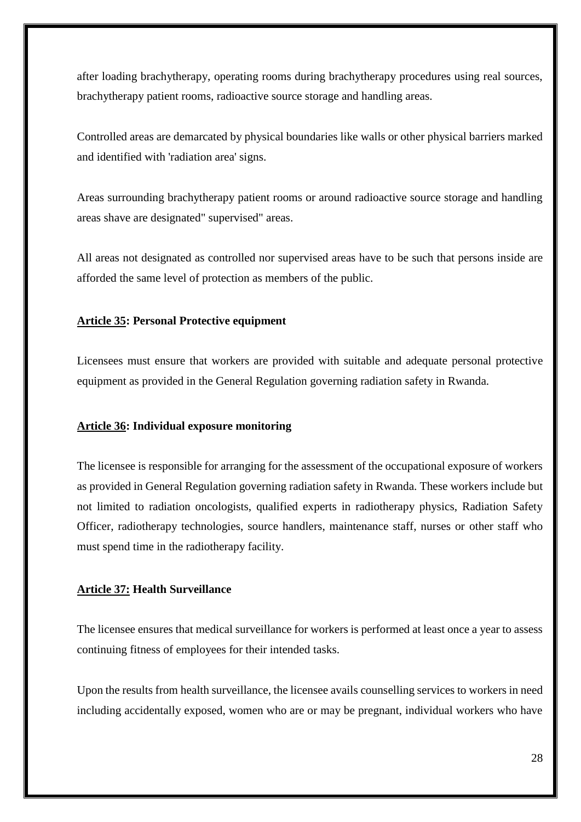after loading brachytherapy, operating rooms during brachytherapy procedures using real sources, brachytherapy patient rooms, radioactive source storage and handling areas.

Controlled areas are demarcated by physical boundaries like walls or other physical barriers marked and identified with 'radiation area' signs.

Areas surrounding brachytherapy patient rooms or around radioactive source storage and handling areas shave are designated" supervised" areas.

All areas not designated as controlled nor supervised areas have to be such that persons inside are afforded the same level of protection as members of the public.

## <span id="page-28-0"></span>**Article 35: Personal Protective equipment**

Licensees must ensure that workers are provided with suitable and adequate personal protective equipment as provided in the General Regulation governing radiation safety in Rwanda.

## <span id="page-28-1"></span>**Article 36: Individual exposure monitoring**

The licensee is responsible for arranging for the assessment of the occupational exposure of workers as provided in General Regulation governing radiation safety in Rwanda. These workers include but not limited to radiation oncologists, qualified experts in radiotherapy physics, Radiation Safety Officer, radiotherapy technologies, source handlers, maintenance staff, nurses or other staff who must spend time in the radiotherapy facility.

## <span id="page-28-2"></span>**Article 37: Health Surveillance**

The licensee ensures that medical surveillance for workers is performed at least once a year to assess continuing fitness of employees for their intended tasks.

Upon the results from health surveillance, the licensee avails counselling services to workers in need including accidentally exposed, women who are or may be pregnant, individual workers who have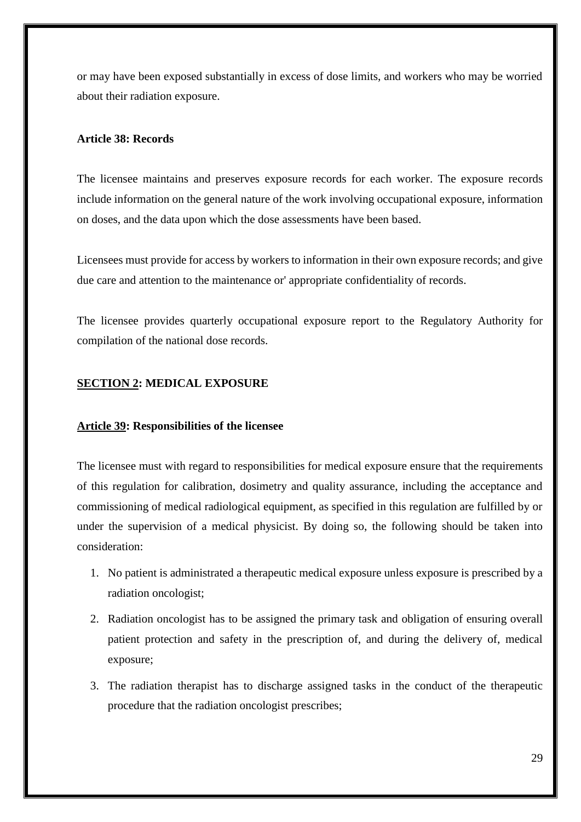or may have been exposed substantially in excess of dose limits, and workers who may be worried about their radiation exposure.

## <span id="page-29-0"></span>**Article 38: Records**

The licensee maintains and preserves exposure records for each worker. The exposure records include information on the general nature of the work involving occupational exposure, information on doses, and the data upon which the dose assessments have been based.

Licensees must provide for access by workers to information in their own exposure records; and give due care and attention to the maintenance or' appropriate confidentiality of records.

The licensee provides quarterly occupational exposure report to the Regulatory Authority for compilation of the national dose records.

## <span id="page-29-1"></span>**SECTION 2: MEDICAL EXPOSURE**

## <span id="page-29-2"></span>**Article 39: Responsibilities of the licensee**

The licensee must with regard to responsibilities for medical exposure ensure that the requirements of this regulation for calibration, dosimetry and quality assurance, including the acceptance and commissioning of medical radiological equipment, as specified in this regulation are fulfilled by or under the supervision of a medical physicist. By doing so, the following should be taken into consideration:

- 1. No patient is administrated a therapeutic medical exposure unless exposure is prescribed by a radiation oncologist;
- 2. Radiation oncologist has to be assigned the primary task and obligation of ensuring overall patient protection and safety in the prescription of, and during the delivery of, medical exposure;
- 3. The radiation therapist has to discharge assigned tasks in the conduct of the therapeutic procedure that the radiation oncologist prescribes;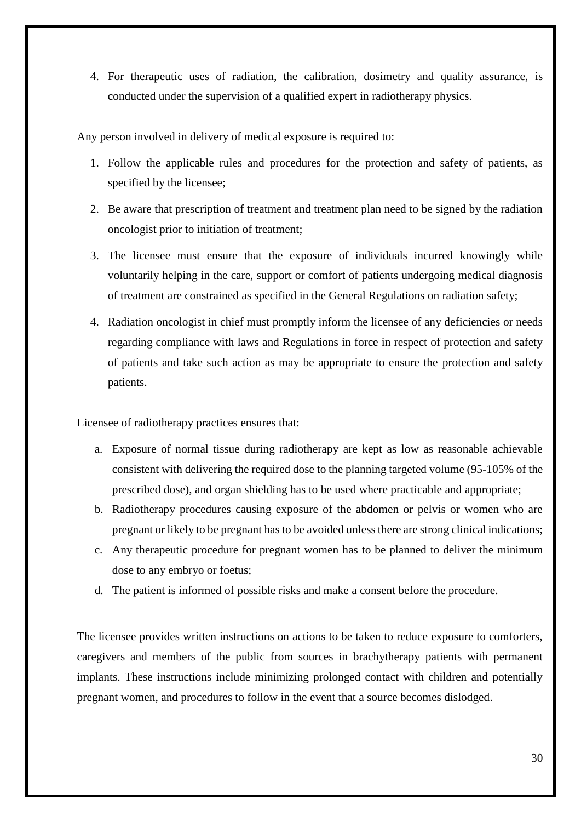4. For therapeutic uses of radiation, the calibration, dosimetry and quality assurance, is conducted under the supervision of a qualified expert in radiotherapy physics.

Any person involved in delivery of medical exposure is required to:

- 1. Follow the applicable rules and procedures for the protection and safety of patients, as specified by the licensee;
- 2. Be aware that prescription of treatment and treatment plan need to be signed by the radiation oncologist prior to initiation of treatment;
- 3. The licensee must ensure that the exposure of individuals incurred knowingly while voluntarily helping in the care, support or comfort of patients undergoing medical diagnosis of treatment are constrained as specified in the General Regulations on radiation safety;
- 4. Radiation oncologist in chief must promptly inform the licensee of any deficiencies or needs regarding compliance with laws and Regulations in force in respect of protection and safety of patients and take such action as may be appropriate to ensure the protection and safety patients.

Licensee of radiotherapy practices ensures that:

- a. Exposure of normal tissue during radiotherapy are kept as low as reasonable achievable consistent with delivering the required dose to the planning targeted volume (95-105% of the prescribed dose), and organ shielding has to be used where practicable and appropriate;
- b. Radiotherapy procedures causing exposure of the abdomen or pelvis or women who are pregnant or likely to be pregnant has to be avoided unless there are strong clinical indications;
- c. Any therapeutic procedure for pregnant women has to be planned to deliver the minimum dose to any embryo or foetus;
- d. The patient is informed of possible risks and make a consent before the procedure.

The licensee provides written instructions on actions to be taken to reduce exposure to comforters, caregivers and members of the public from sources in brachytherapy patients with permanent implants. These instructions include minimizing prolonged contact with children and potentially pregnant women, and procedures to follow in the event that a source becomes dislodged.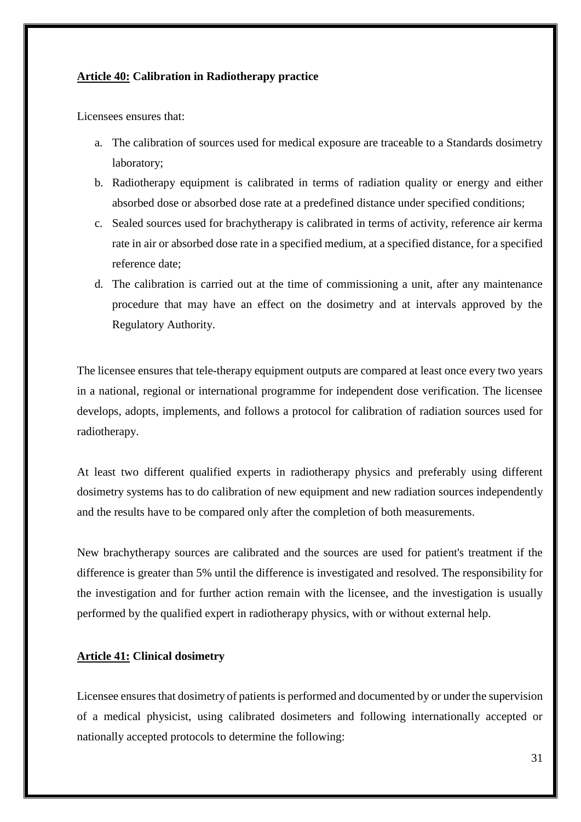#### <span id="page-31-0"></span>**Article 40: Calibration in Radiotherapy practice**

Licensees ensures that:

- a. The calibration of sources used for medical exposure are traceable to a Standards dosimetry laboratory;
- b. Radiotherapy equipment is calibrated in terms of radiation quality or energy and either absorbed dose or absorbed dose rate at a predefined distance under specified conditions;
- c. Sealed sources used for brachytherapy is calibrated in terms of activity, reference air kerma rate in air or absorbed dose rate in a specified medium, at a specified distance, for a specified reference date;
- d. The calibration is carried out at the time of commissioning a unit, after any maintenance procedure that may have an effect on the dosimetry and at intervals approved by the Regulatory Authority.

The licensee ensures that tele-therapy equipment outputs are compared at least once every two years in a national, regional or international programme for independent dose verification. The licensee develops, adopts, implements, and follows a protocol for calibration of radiation sources used for radiotherapy.

At least two different qualified experts in radiotherapy physics and preferably using different dosimetry systems has to do calibration of new equipment and new radiation sources independently and the results have to be compared only after the completion of both measurements.

New brachytherapy sources are calibrated and the sources are used for patient's treatment if the difference is greater than 5% until the difference is investigated and resolved. The responsibility for the investigation and for further action remain with the licensee, and the investigation is usually performed by the qualified expert in radiotherapy physics, with or without external help.

## <span id="page-31-1"></span>**Article 41: Clinical dosimetry**

Licensee ensures that dosimetry of patients is performed and documented by or under the supervision of a medical physicist, using calibrated dosimeters and following internationally accepted or nationally accepted protocols to determine the following: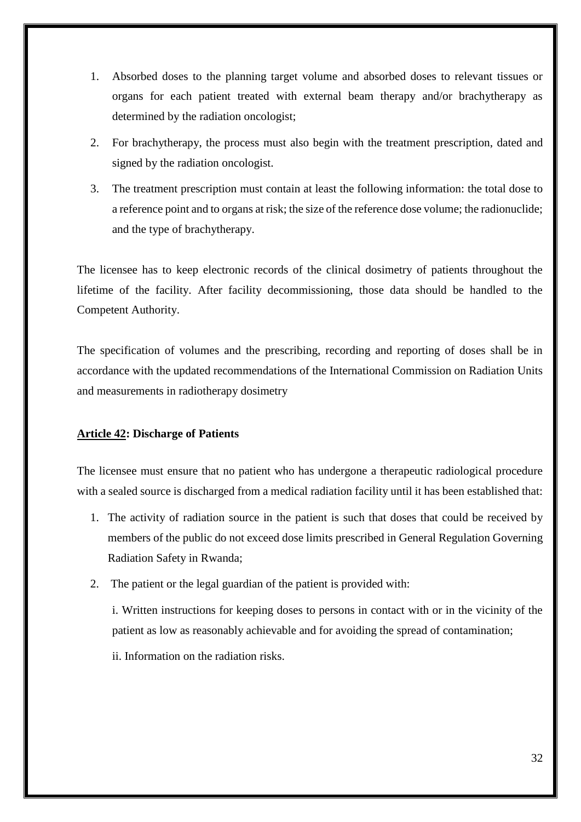- 1. Absorbed doses to the planning target volume and absorbed doses to relevant tissues or organs for each patient treated with external beam therapy and/or brachytherapy as determined by the radiation oncologist;
- 2. For brachytherapy, the process must also begin with the treatment prescription, dated and signed by the radiation oncologist.
- 3. The treatment prescription must contain at least the following information: the total dose to a reference point and to organs at risk; the size of the reference dose volume; the radionuclide; and the type of brachytherapy.

The licensee has to keep electronic records of the clinical dosimetry of patients throughout the lifetime of the facility. After facility decommissioning, those data should be handled to the Competent Authority.

The specification of volumes and the prescribing, recording and reporting of doses shall be in accordance with the updated recommendations of the International Commission on Radiation Units and measurements in radiotherapy dosimetry

## <span id="page-32-0"></span>**Article 42: Discharge of Patients**

The licensee must ensure that no patient who has undergone a therapeutic radiological procedure with a sealed source is discharged from a medical radiation facility until it has been established that:

- 1. The activity of radiation source in the patient is such that doses that could be received by members of the public do not exceed dose limits prescribed in General Regulation Governing Radiation Safety in Rwanda;
- 2. The patient or the legal guardian of the patient is provided with:
	- i. Written instructions for keeping doses to persons in contact with or in the vicinity of the patient as low as reasonably achievable and for avoiding the spread of contamination;
	- ii. Information on the radiation risks.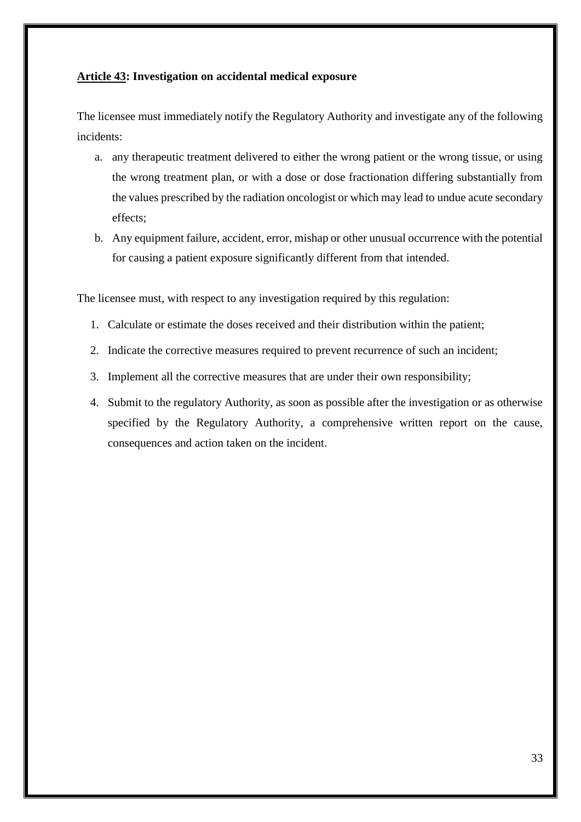## <span id="page-33-0"></span>**Article 43: Investigation on accidental medical exposure**

The licensee must immediately notify the Regulatory Authority and investigate any of the following incidents:

- a. any therapeutic treatment delivered to either the wrong patient or the wrong tissue, or using the wrong treatment plan, or with a dose or dose fractionation differing substantially from the values prescribed by the radiation oncologist or which may lead to undue acute secondary effects;
- b. Any equipment failure, accident, error, mishap or other unusual occurrence with the potential for causing a patient exposure significantly different from that intended.

The licensee must, with respect to any investigation required by this regulation:

- 1. Calculate or estimate the doses received and their distribution within the patient;
- 2. Indicate the corrective measures required to prevent recurrence of such an incident;
- 3. Implement all the corrective measures that are under their own responsibility;
- 4. Submit to the regulatory Authority, as soon as possible after the investigation or as otherwise specified by the Regulatory Authority, a comprehensive written report on the cause, consequences and action taken on the incident.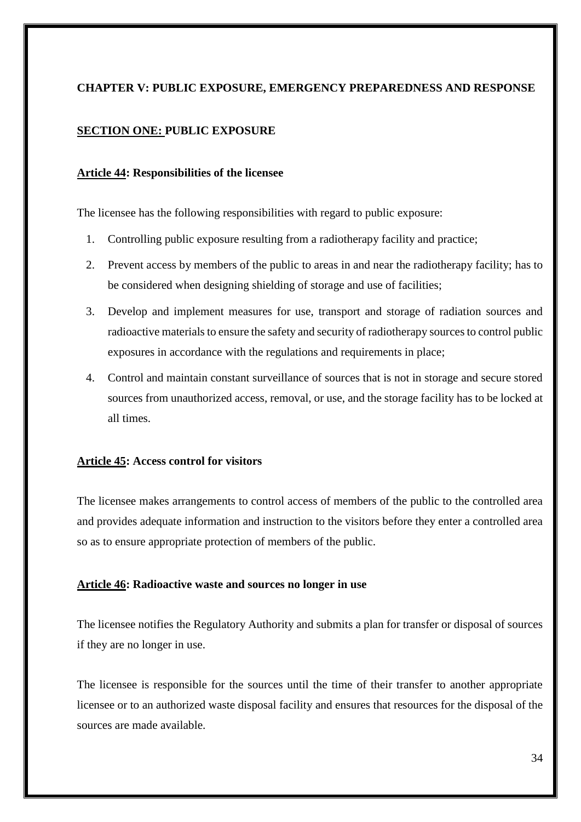## <span id="page-34-0"></span>**CHAPTER V: PUBLIC EXPOSURE, EMERGENCY PREPAREDNESS AND RESPONSE**

## <span id="page-34-1"></span>**SECTION ONE: PUBLIC EXPOSURE**

#### <span id="page-34-2"></span>**Article 44: Responsibilities of the licensee**

The licensee has the following responsibilities with regard to public exposure:

- 1. Controlling public exposure resulting from a radiotherapy facility and practice;
- 2. Prevent access by members of the public to areas in and near the radiotherapy facility; has to be considered when designing shielding of storage and use of facilities;
- 3. Develop and implement measures for use, transport and storage of radiation sources and radioactive materials to ensure the safety and security of radiotherapy sources to control public exposures in accordance with the regulations and requirements in place;
- 4. Control and maintain constant surveillance of sources that is not in storage and secure stored sources from unauthorized access, removal, or use, and the storage facility has to be locked at all times.

#### <span id="page-34-3"></span>**Article 45: Access control for visitors**

The licensee makes arrangements to control access of members of the public to the controlled area and provides adequate information and instruction to the visitors before they enter a controlled area so as to ensure appropriate protection of members of the public.

#### <span id="page-34-4"></span>**Article 46: Radioactive waste and sources no longer in use**

The licensee notifies the Regulatory Authority and submits a plan for transfer or disposal of sources if they are no longer in use.

The licensee is responsible for the sources until the time of their transfer to another appropriate licensee or to an authorized waste disposal facility and ensures that resources for the disposal of the sources are made available.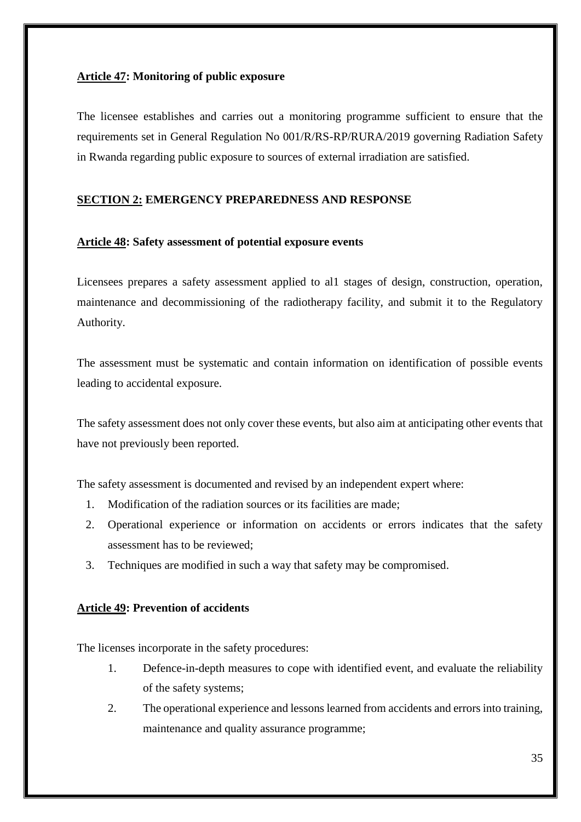## <span id="page-35-0"></span>**Article 47: Monitoring of public exposure**

The licensee establishes and carries out a monitoring programme sufficient to ensure that the requirements set in General Regulation No 001/R/RS-RP/RURA/2019 governing Radiation Safety in Rwanda regarding public exposure to sources of external irradiation are satisfied.

## <span id="page-35-1"></span>**SECTION 2: EMERGENCY PREPAREDNESS AND RESPONSE**

## <span id="page-35-2"></span>**Article 48: Safety assessment of potential exposure events**

Licensees prepares a safety assessment applied to al1 stages of design, construction, operation, maintenance and decommissioning of the radiotherapy facility, and submit it to the Regulatory Authority.

The assessment must be systematic and contain information on identification of possible events leading to accidental exposure.

The safety assessment does not only cover these events, but also aim at anticipating other events that have not previously been reported.

The safety assessment is documented and revised by an independent expert where:

- 1. Modification of the radiation sources or its facilities are made;
- 2. Operational experience or information on accidents or errors indicates that the safety assessment has to be reviewed;
- 3. Techniques are modified in such a way that safety may be compromised.

## <span id="page-35-3"></span>**Article 49: Prevention of accidents**

The licenses incorporate in the safety procedures:

- 1. Defence-in-depth measures to cope with identified event, and evaluate the reliability of the safety systems;
- 2. The operational experience and lessons learned from accidents and errors into training, maintenance and quality assurance programme;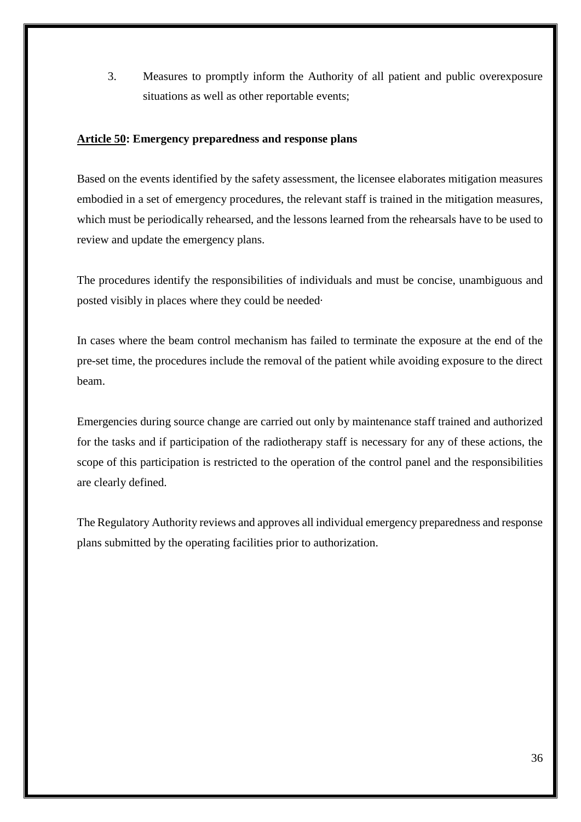3. Measures to promptly inform the Authority of all patient and public overexposure situations as well as other reportable events;

## <span id="page-36-0"></span>**Article 50: Emergency preparedness and response plans**

Based on the events identified by the safety assessment, the licensee elaborates mitigation measures embodied in a set of emergency procedures, the relevant staff is trained in the mitigation measures, which must be periodically rehearsed, and the lessons learned from the rehearsals have to be used to review and update the emergency plans.

The procedures identify the responsibilities of individuals and must be concise, unambiguous and posted visibly in places where they could be needed·

In cases where the beam control mechanism has failed to terminate the exposure at the end of the pre-set time, the procedures include the removal of the patient while avoiding exposure to the direct beam.

Emergencies during source change are carried out only by maintenance staff trained and authorized for the tasks and if participation of the radiotherapy staff is necessary for any of these actions, the scope of this participation is restricted to the operation of the control panel and the responsibilities are clearly defined.

The Regulatory Authority reviews and approves all individual emergency preparedness and response plans submitted by the operating facilities prior to authorization.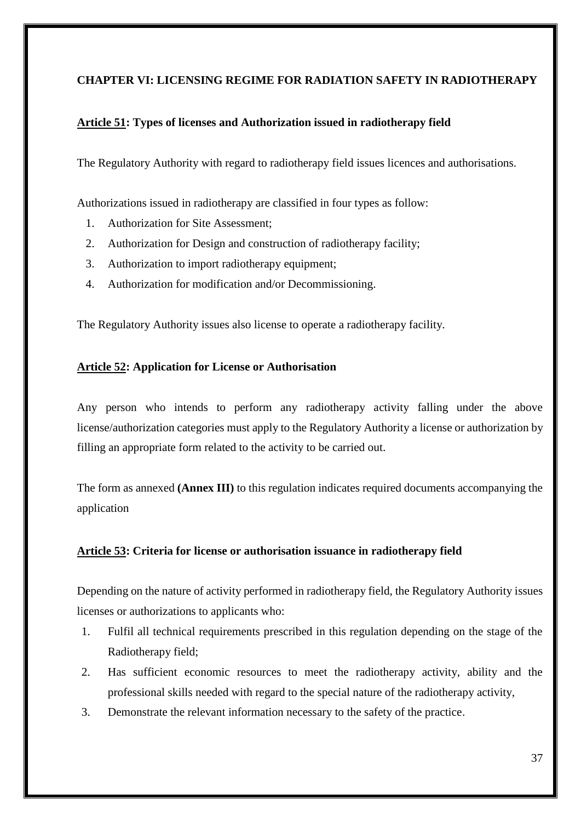## <span id="page-37-0"></span>**CHAPTER VI: LICENSING REGIME FOR RADIATION SAFETY IN RADIOTHERAPY**

## <span id="page-37-1"></span>**Article 51: Types of licenses and Authorization issued in radiotherapy field**

The Regulatory Authority with regard to radiotherapy field issues licences and authorisations.

Authorizations issued in radiotherapy are classified in four types as follow:

- 1. Authorization for Site Assessment;
- 2. Authorization for Design and construction of radiotherapy facility;
- 3. Authorization to import radiotherapy equipment;
- 4. Authorization for modification and/or Decommissioning.

The Regulatory Authority issues also license to operate a radiotherapy facility.

## <span id="page-37-2"></span>**Article 52: Application for License or Authorisation**

Any person who intends to perform any radiotherapy activity falling under the above license/authorization categories must apply to the Regulatory Authority a license or authorization by filling an appropriate form related to the activity to be carried out.

The form as annexed **(Annex III)** to this regulation indicates required documents accompanying the application

## <span id="page-37-3"></span>**Article 53: Criteria for license or authorisation issuance in radiotherapy field**

Depending on the nature of activity performed in radiotherapy field, the Regulatory Authority issues licenses or authorizations to applicants who:

- 1. Fulfil all technical requirements prescribed in this regulation depending on the stage of the Radiotherapy field;
- 2. Has sufficient economic resources to meet the radiotherapy activity, ability and the professional skills needed with regard to the special nature of the radiotherapy activity,
- 3. Demonstrate the relevant information necessary to the safety of the practice.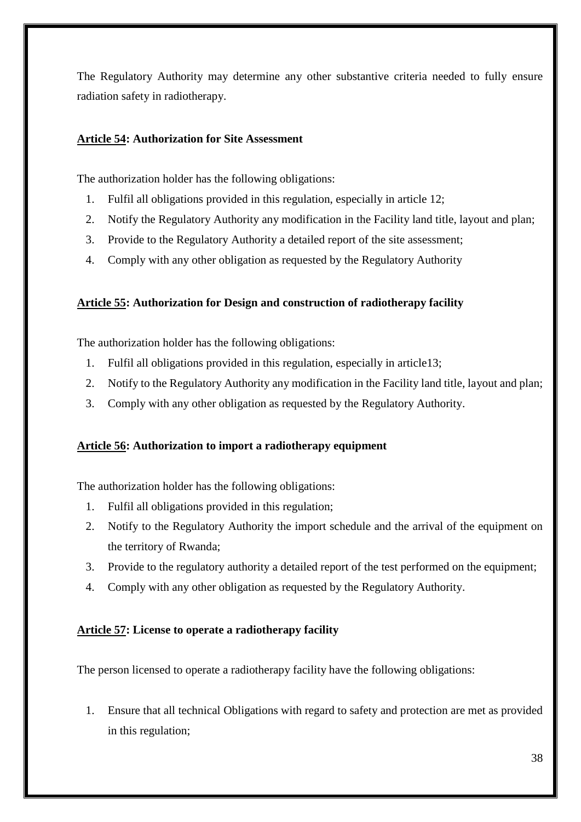The Regulatory Authority may determine any other substantive criteria needed to fully ensure radiation safety in radiotherapy.

## <span id="page-38-0"></span>**Article 54: Authorization for Site Assessment**

The authorization holder has the following obligations:

- 1. Fulfil all obligations provided in this regulation, especially in article 12;
- 2. Notify the Regulatory Authority any modification in the Facility land title, layout and plan;
- 3. Provide to the Regulatory Authority a detailed report of the site assessment;
- 4. Comply with any other obligation as requested by the Regulatory Authority

## <span id="page-38-1"></span>**Article 55: Authorization for Design and construction of radiotherapy facility**

The authorization holder has the following obligations:

- 1. Fulfil all obligations provided in this regulation, especially in article13;
- 2. Notify to the Regulatory Authority any modification in the Facility land title, layout and plan;
- 3. Comply with any other obligation as requested by the Regulatory Authority.

## <span id="page-38-2"></span>**Article 56: Authorization to import a radiotherapy equipment**

The authorization holder has the following obligations:

- 1. Fulfil all obligations provided in this regulation;
- 2. Notify to the Regulatory Authority the import schedule and the arrival of the equipment on the territory of Rwanda;
- 3. Provide to the regulatory authority a detailed report of the test performed on the equipment;
- 4. Comply with any other obligation as requested by the Regulatory Authority.

## <span id="page-38-3"></span>**Article 57: License to operate a radiotherapy facility**

The person licensed to operate a radiotherapy facility have the following obligations:

1. Ensure that all technical Obligations with regard to safety and protection are met as provided in this regulation;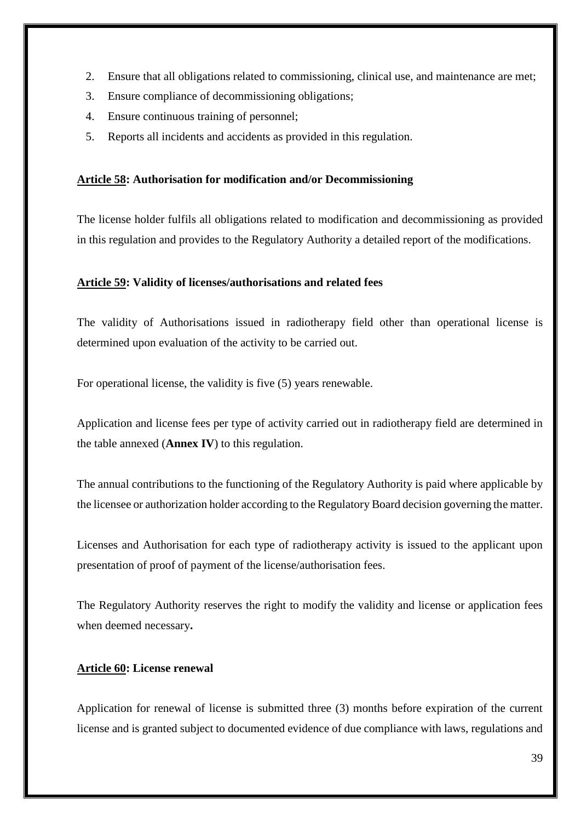- 2. Ensure that all obligations related to commissioning, clinical use, and maintenance are met;
- 3. Ensure compliance of decommissioning obligations;
- 4. Ensure continuous training of personnel;
- 5. Reports all incidents and accidents as provided in this regulation.

## <span id="page-39-0"></span>**Article 58: Authorisation for modification and/or Decommissioning**

The license holder fulfils all obligations related to modification and decommissioning as provided in this regulation and provides to the Regulatory Authority a detailed report of the modifications.

#### <span id="page-39-1"></span>**Article 59: Validity of licenses/authorisations and related fees**

The validity of Authorisations issued in radiotherapy field other than operational license is determined upon evaluation of the activity to be carried out.

For operational license, the validity is five (5) years renewable.

Application and license fees per type of activity carried out in radiotherapy field are determined in the table annexed (**Annex IV**) to this regulation.

The annual contributions to the functioning of the Regulatory Authority is paid where applicable by the licensee or authorization holder according to the Regulatory Board decision governing the matter.

Licenses and Authorisation for each type of radiotherapy activity is issued to the applicant upon presentation of proof of payment of the license/authorisation fees.

The Regulatory Authority reserves the right to modify the validity and license or application fees when deemed necessary**.**

#### <span id="page-39-2"></span>**Article 60: License renewal**

Application for renewal of license is submitted three (3) months before expiration of the current license and is granted subject to documented evidence of due compliance with laws, regulations and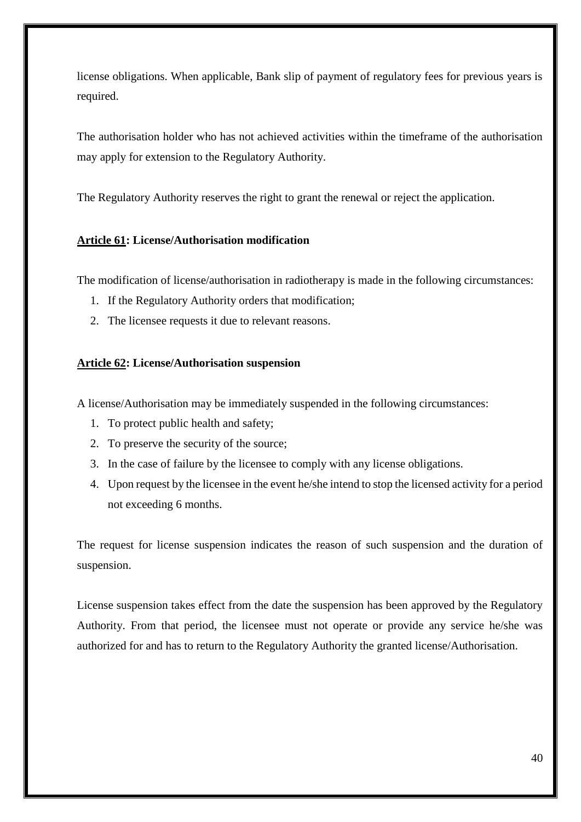license obligations. When applicable, Bank slip of payment of regulatory fees for previous years is required.

The authorisation holder who has not achieved activities within the timeframe of the authorisation may apply for extension to the Regulatory Authority.

The Regulatory Authority reserves the right to grant the renewal or reject the application.

## <span id="page-40-0"></span>**Article 61: License/Authorisation modification**

The modification of license/authorisation in radiotherapy is made in the following circumstances:

- 1. If the Regulatory Authority orders that modification;
- 2. The licensee requests it due to relevant reasons.

## <span id="page-40-1"></span>**Article 62: License/Authorisation suspension**

A license/Authorisation may be immediately suspended in the following circumstances:

- 1. To protect public health and safety;
- 2. To preserve the security of the source;
- 3. In the case of failure by the licensee to comply with any license obligations.
- 4. Upon request by the licensee in the event he/she intend to stop the licensed activity for a period not exceeding 6 months.

The request for license suspension indicates the reason of such suspension and the duration of suspension.

License suspension takes effect from the date the suspension has been approved by the Regulatory Authority. From that period, the licensee must not operate or provide any service he/she was authorized for and has to return to the Regulatory Authority the granted license/Authorisation.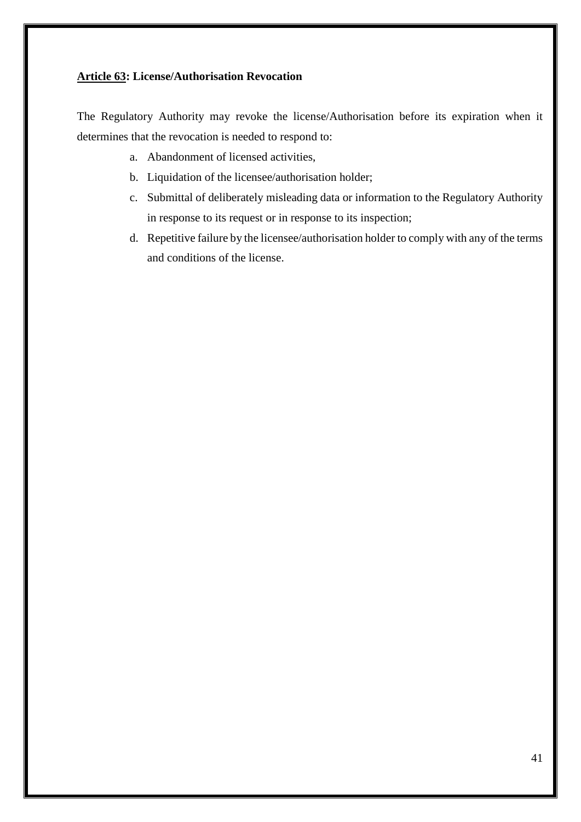## <span id="page-41-0"></span>**Article 63: License/Authorisation Revocation**

The Regulatory Authority may revoke the license/Authorisation before its expiration when it determines that the revocation is needed to respond to:

- a. Abandonment of licensed activities,
- b. Liquidation of the licensee/authorisation holder;
- c. Submittal of deliberately misleading data or information to the Regulatory Authority in response to its request or in response to its inspection;
- d. Repetitive failure by the licensee/authorisation holder to comply with any of the terms and conditions of the license.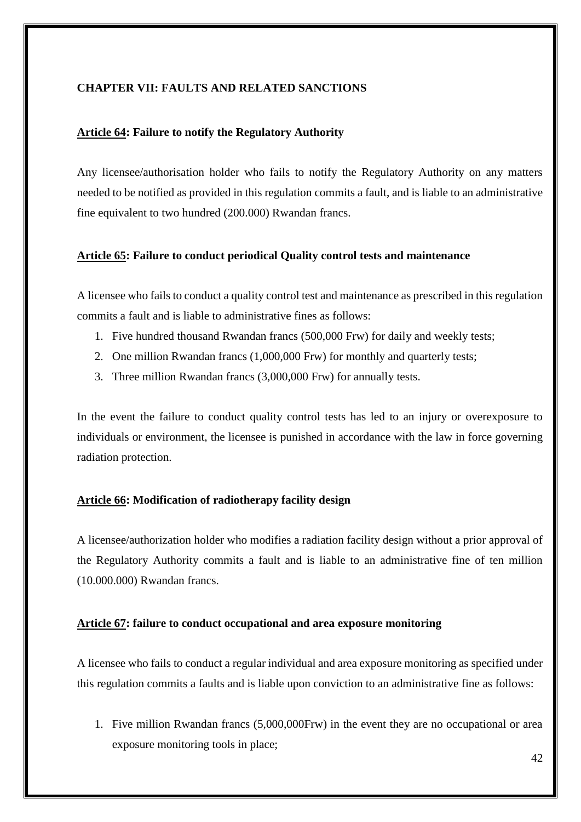## <span id="page-42-0"></span>**CHAPTER VII: FAULTS AND RELATED SANCTIONS**

## <span id="page-42-1"></span>**Article 64: Failure to notify the Regulatory Authority**

Any licensee/authorisation holder who fails to notify the Regulatory Authority on any matters needed to be notified as provided in this regulation commits a fault, and is liable to an administrative fine equivalent to two hundred (200.000) Rwandan francs.

## <span id="page-42-2"></span>**Article 65: Failure to conduct periodical Quality control tests and maintenance**

A licensee who fails to conduct a quality control test and maintenance as prescribed in this regulation commits a fault and is liable to administrative fines as follows:

- 1. Five hundred thousand Rwandan francs (500,000 Frw) for daily and weekly tests;
- 2. One million Rwandan francs (1,000,000 Frw) for monthly and quarterly tests;
- 3. Three million Rwandan francs (3,000,000 Frw) for annually tests.

In the event the failure to conduct quality control tests has led to an injury or overexposure to individuals or environment, the licensee is punished in accordance with the law in force governing radiation protection.

## <span id="page-42-3"></span>**Article 66: Modification of radiotherapy facility design**

A licensee/authorization holder who modifies a radiation facility design without a prior approval of the Regulatory Authority commits a fault and is liable to an administrative fine of ten million (10.000.000) Rwandan francs.

## <span id="page-42-4"></span>**Article 67: failure to conduct occupational and area exposure monitoring**

A licensee who fails to conduct a regular individual and area exposure monitoring as specified under this regulation commits a faults and is liable upon conviction to an administrative fine as follows:

1. Five million Rwandan francs (5,000,000Frw) in the event they are no occupational or area exposure monitoring tools in place;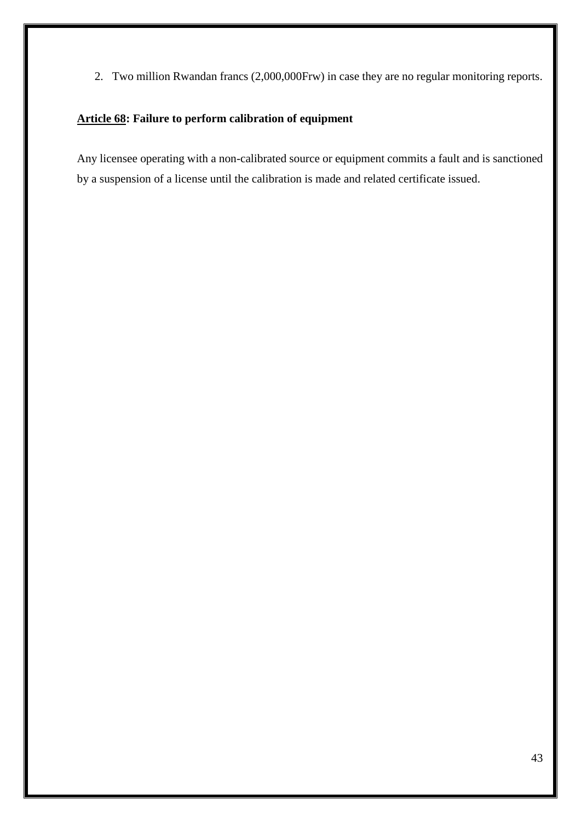2. Two million Rwandan francs (2,000,000Frw) in case they are no regular monitoring reports.

## <span id="page-43-0"></span>**Article 68: Failure to perform calibration of equipment**

Any licensee operating with a non-calibrated source or equipment commits a fault and is sanctioned by a suspension of a license until the calibration is made and related certificate issued.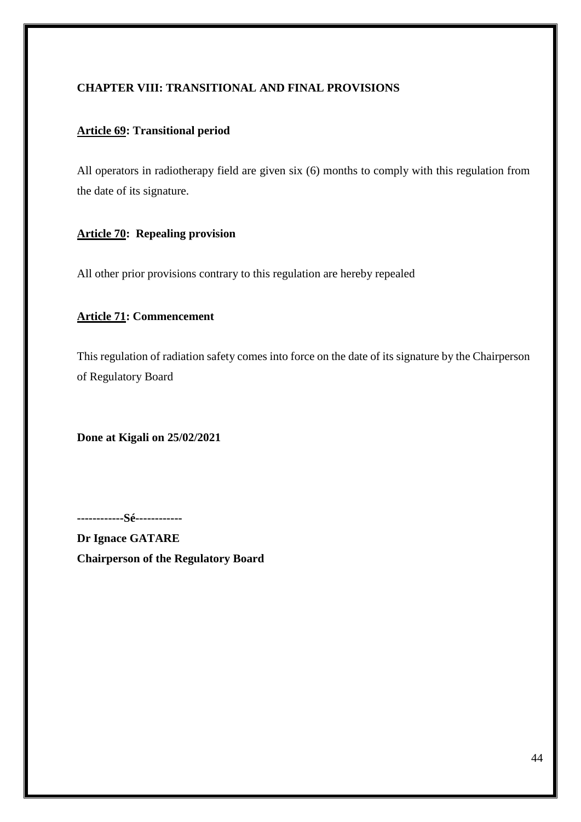## <span id="page-44-0"></span>**CHAPTER VIII: TRANSITIONAL AND FINAL PROVISIONS**

## <span id="page-44-1"></span>**Article 69: Transitional period**

All operators in radiotherapy field are given six (6) months to comply with this regulation from the date of its signature.

## <span id="page-44-2"></span>**Article 70: Repealing provision**

All other prior provisions contrary to this regulation are hereby repealed

## <span id="page-44-3"></span>**Article 71: Commencement**

This regulation of radiation safety comes into force on the date of its signature by the Chairperson of Regulatory Board

**Done at Kigali on 25/02/2021** 

**------------Sé------------**

**Dr Ignace GATARE Chairperson of the Regulatory Board**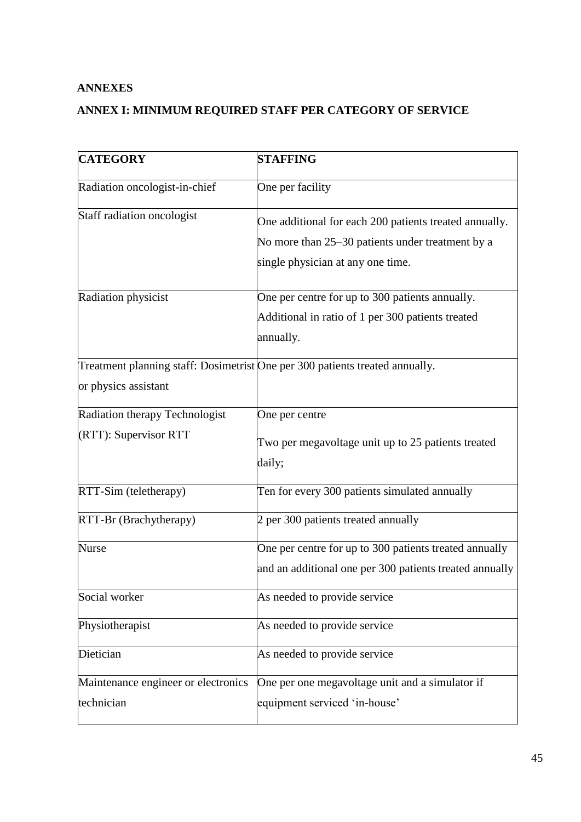## <span id="page-45-0"></span>**ANNEXES**

# <span id="page-45-1"></span>**ANNEX I: MINIMUM REQUIRED STAFF PER CATEGORY OF SERVICE**

| <b>CATEGORY</b>                                   | <b>STAFFING</b>                                                                                                                                 |
|---------------------------------------------------|-------------------------------------------------------------------------------------------------------------------------------------------------|
| Radiation oncologist-in-chief                     | One per facility                                                                                                                                |
| Staff radiation oncologist                        | One additional for each 200 patients treated annually.<br>No more than 25–30 patients under treatment by a<br>single physician at any one time. |
| Radiation physicist                               | One per centre for up to 300 patients annually.<br>Additional in ratio of 1 per 300 patients treated<br>annually.                               |
| or physics assistant                              | Treatment planning staff: Dosimetrist One per 300 patients treated annually.                                                                    |
| Radiation therapy Technologist                    | One per centre                                                                                                                                  |
| (RTT): Supervisor RTT                             | Two per megavoltage unit up to 25 patients treated<br>daily;                                                                                    |
| RTT-Sim (teletherapy)                             | Ten for every 300 patients simulated annually                                                                                                   |
| RTT-Br (Brachytherapy)                            | 2 per 300 patients treated annually                                                                                                             |
| <b>Nurse</b>                                      | One per centre for up to 300 patients treated annually<br>and an additional one per 300 patients treated annually                               |
| Social worker                                     | As needed to provide service                                                                                                                    |
| Physiotherapist                                   | As needed to provide service                                                                                                                    |
| Dietician                                         | As needed to provide service                                                                                                                    |
| Maintenance engineer or electronics<br>technician | One per one megavoltage unit and a simulator if<br>equipment serviced 'in-house'                                                                |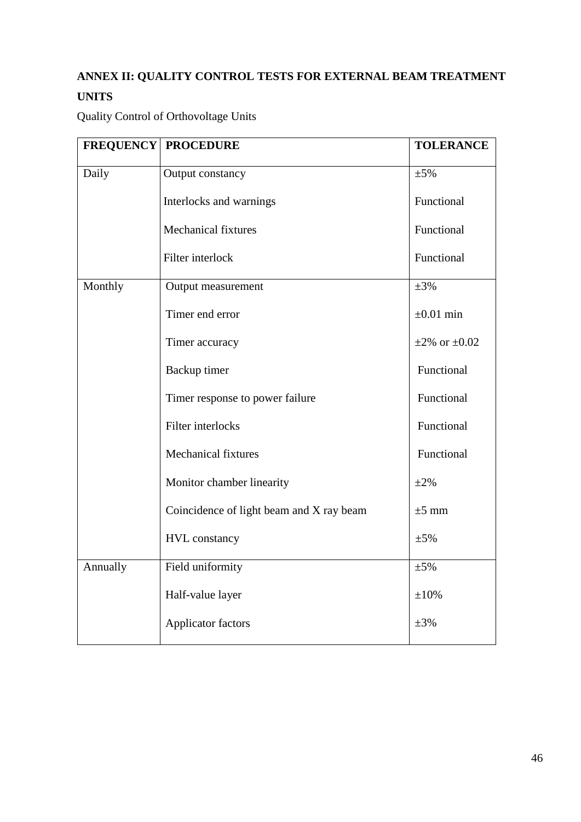# <span id="page-46-0"></span>**ANNEX II: QUALITY CONTROL TESTS FOR EXTERNAL BEAM TREATMENT UNITS**

Quality Control of Orthovoltage Units

|          | <b>FREQUENCY PROCEDURE</b>               | <b>TOLERANCE</b>        |
|----------|------------------------------------------|-------------------------|
| Daily    | Output constancy                         | $\pm 5\%$               |
|          | Interlocks and warnings                  | Functional              |
|          | <b>Mechanical fixtures</b>               | Functional              |
|          | Filter interlock                         | Functional              |
| Monthly  | Output measurement                       | $\pm 3\%$               |
|          | Timer end error                          | $\pm 0.01$ min          |
|          | Timer accuracy                           | $\pm 2\%$ or $\pm 0.02$ |
|          | Backup timer                             | Functional              |
|          | Timer response to power failure          | Functional              |
|          | Filter interlocks                        | Functional              |
|          | Mechanical fixtures                      | Functional              |
|          | Monitor chamber linearity                | $\pm 2\%$               |
|          | Coincidence of light beam and X ray beam | $\pm 5$ mm              |
|          | <b>HVL</b> constancy                     | $\pm 5\%$               |
| Annually | Field uniformity                         | $\pm 5\%$               |
|          | Half-value layer                         | $\pm 10\%$              |
|          | Applicator factors                       | $\pm 3\%$               |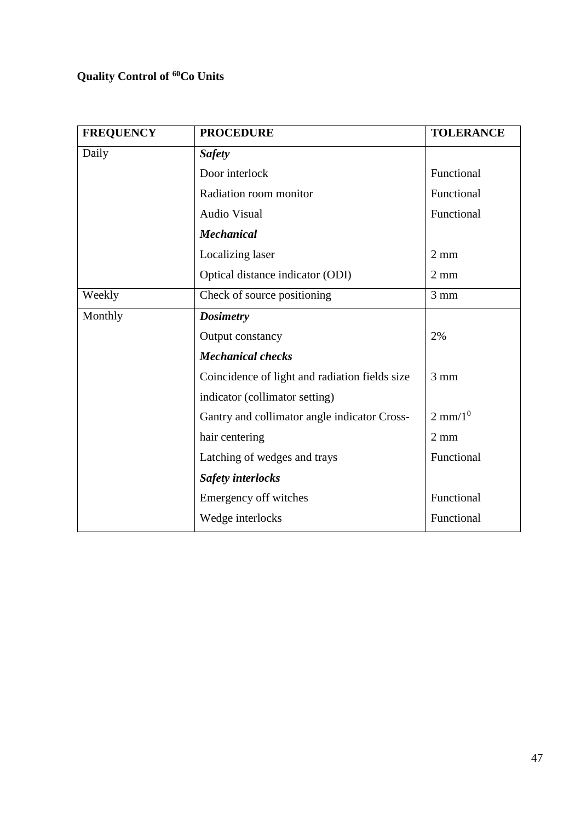# **Quality Control of <sup>60</sup>Co Units**

| <b>FREQUENCY</b> | <b>PROCEDURE</b>                               | <b>TOLERANCE</b>   |
|------------------|------------------------------------------------|--------------------|
| Daily            | <b>Safety</b>                                  |                    |
|                  | Door interlock                                 | Functional         |
|                  | Radiation room monitor                         | Functional         |
|                  | <b>Audio Visual</b>                            | Functional         |
|                  | <b>Mechanical</b>                              |                    |
|                  | Localizing laser                               | $2 \text{ mm}$     |
|                  | Optical distance indicator (ODI)               | $2 \text{ mm}$     |
| Weekly           | Check of source positioning                    | $3 \text{ mm}$     |
| Monthly          | <b>Dosimetry</b>                               |                    |
|                  | Output constancy                               | 2%                 |
|                  | <b>Mechanical checks</b>                       |                    |
|                  | Coincidence of light and radiation fields size | $3 \text{ mm}$     |
|                  | indicator (collimator setting)                 |                    |
|                  | Gantry and collimator angle indicator Cross-   | $2 \text{ mm}/1^0$ |
|                  | hair centering                                 | $2 \text{ mm}$     |
|                  | Latching of wedges and trays                   | Functional         |
|                  | <b>Safety interlocks</b>                       |                    |
|                  | Emergency off witches                          | Functional         |
|                  | Wedge interlocks                               | Functional         |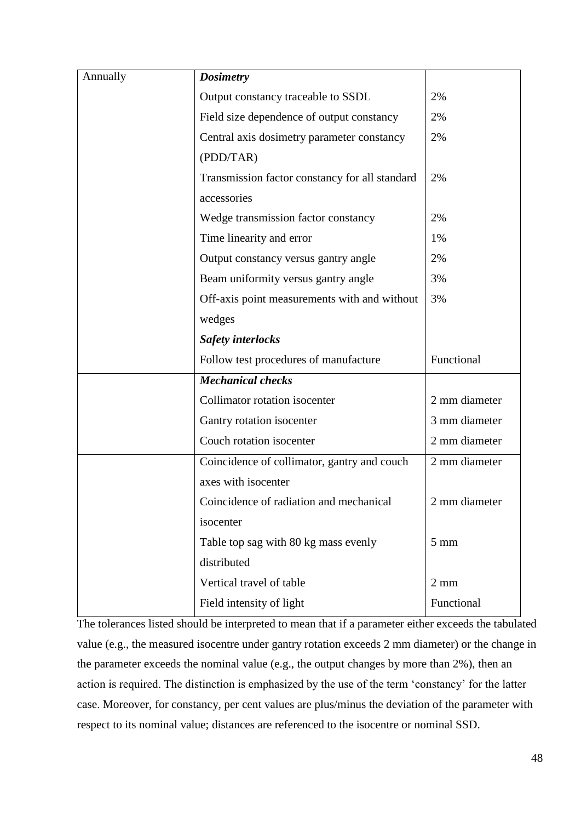| Annually | <b>Dosimetry</b>                               |                |
|----------|------------------------------------------------|----------------|
|          | Output constancy traceable to SSDL             | 2%             |
|          | Field size dependence of output constancy      | 2%             |
|          | Central axis dosimetry parameter constancy     | 2%             |
|          | (PDD/TAR)                                      |                |
|          | Transmission factor constancy for all standard | 2%             |
|          | accessories                                    |                |
|          | Wedge transmission factor constancy            | 2%             |
|          | Time linearity and error                       | 1%             |
|          | Output constancy versus gantry angle           | 2%             |
|          | Beam uniformity versus gantry angle            | 3%             |
|          | Off-axis point measurements with and without   | 3%             |
|          | wedges                                         |                |
|          | <b>Safety interlocks</b>                       |                |
|          | Follow test procedures of manufacture          | Functional     |
|          | <b>Mechanical checks</b>                       |                |
|          | Collimator rotation isocenter                  | 2 mm diameter  |
|          | Gantry rotation isocenter                      | 3 mm diameter  |
|          | Couch rotation isocenter                       | 2 mm diameter  |
|          | Coincidence of collimator, gantry and couch    | 2 mm diameter  |
|          | axes with isocenter                            |                |
|          | Coincidence of radiation and mechanical        | 2 mm diameter  |
|          | isocenter                                      |                |
|          |                                                |                |
|          | Table top sag with 80 kg mass evenly           | $5 \text{ mm}$ |
|          | distributed                                    |                |
|          | Vertical travel of table                       | $2 \text{ mm}$ |

The tolerances listed should be interpreted to mean that if a parameter either exceeds the tabulated value (e.g., the measured isocentre under gantry rotation exceeds 2 mm diameter) or the change in the parameter exceeds the nominal value (e.g., the output changes by more than 2%), then an action is required. The distinction is emphasized by the use of the term 'constancy' for the latter case. Moreover, for constancy, per cent values are plus/minus the deviation of the parameter with respect to its nominal value; distances are referenced to the isocentre or nominal SSD.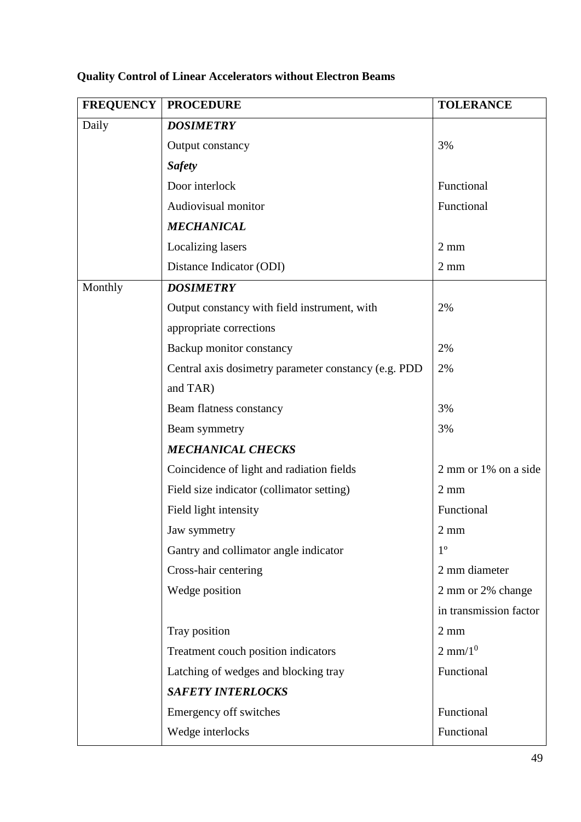|         | <b>FREQUENCY   PROCEDURE</b>                         | <b>TOLERANCE</b>       |
|---------|------------------------------------------------------|------------------------|
| Daily   | <b>DOSIMETRY</b>                                     |                        |
|         | Output constancy                                     | 3%                     |
|         | <b>Safety</b>                                        |                        |
|         | Door interlock                                       | Functional             |
|         | Audiovisual monitor                                  | Functional             |
|         | <b>MECHANICAL</b>                                    |                        |
|         | Localizing lasers                                    | $2 \text{ mm}$         |
|         | Distance Indicator (ODI)                             | $2 \text{ mm}$         |
| Monthly | <b>DOSIMETRY</b>                                     |                        |
|         | Output constancy with field instrument, with         | 2%                     |
|         | appropriate corrections                              |                        |
|         | Backup monitor constancy                             | 2%                     |
|         | Central axis dosimetry parameter constancy (e.g. PDD | 2%                     |
|         | and TAR)                                             |                        |
|         | Beam flatness constancy                              | 3%                     |
|         | Beam symmetry                                        | 3%                     |
|         | <b>MECHANICAL CHECKS</b>                             |                        |
|         | Coincidence of light and radiation fields            | 2 mm or 1% on a side   |
|         | Field size indicator (collimator setting)            | $2 \text{ mm}$         |
|         | Field light intensity                                | Functional             |
|         | Jaw symmetry                                         | $2 \text{ mm}$         |
|         | Gantry and collimator angle indicator                | $1^{\circ}$            |
|         | Cross-hair centering                                 | 2 mm diameter          |
|         | Wedge position                                       | 2 mm or 2% change      |
|         |                                                      | in transmission factor |
|         | Tray position                                        | $2 \text{ mm}$         |
|         | Treatment couch position indicators                  | $2 \text{ mm}/1^0$     |
|         | Latching of wedges and blocking tray                 | Functional             |
|         | <b>SAFETY INTERLOCKS</b>                             |                        |
|         | Emergency off switches                               | Functional             |
|         | Wedge interlocks                                     | Functional             |

# **Quality Control of Linear Accelerators without Electron Beams**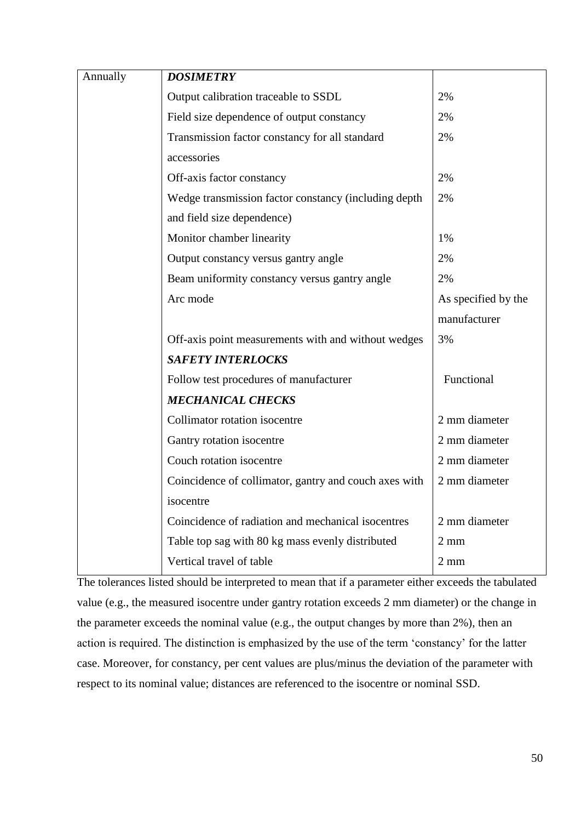| Annually | <b>DOSIMETRY</b>                                      |                     |
|----------|-------------------------------------------------------|---------------------|
|          | Output calibration traceable to SSDL                  | 2%                  |
|          | Field size dependence of output constancy             | 2%                  |
|          | Transmission factor constancy for all standard        | 2%                  |
|          | accessories                                           |                     |
|          | Off-axis factor constancy                             | 2%                  |
|          | Wedge transmission factor constancy (including depth  | 2%                  |
|          | and field size dependence)                            |                     |
|          | Monitor chamber linearity                             | 1%                  |
|          | Output constancy versus gantry angle                  | 2%                  |
|          | Beam uniformity constancy versus gantry angle         | 2%                  |
|          | Arc mode                                              | As specified by the |
|          |                                                       | manufacturer        |
|          | Off-axis point measurements with and without wedges   | 3%                  |
|          | <b>SAFETY INTERLOCKS</b>                              |                     |
|          | Follow test procedures of manufacturer                | Functional          |
|          | <b>MECHANICAL CHECKS</b>                              |                     |
|          | Collimator rotation isocentre                         | 2 mm diameter       |
|          | Gantry rotation isocentre                             | 2 mm diameter       |
|          | Couch rotation isocentre                              | 2 mm diameter       |
|          | Coincidence of collimator, gantry and couch axes with | 2 mm diameter       |
|          | isocentre                                             |                     |
|          | Coincidence of radiation and mechanical isocentres    | 2 mm diameter       |
|          | Table top sag with 80 kg mass evenly distributed      | $2 \text{ mm}$      |
|          | Vertical travel of table                              | $2 \text{ mm}$      |

The tolerances listed should be interpreted to mean that if a parameter either exceeds the tabulated value (e.g., the measured isocentre under gantry rotation exceeds 2 mm diameter) or the change in the parameter exceeds the nominal value (e.g., the output changes by more than 2%), then an action is required. The distinction is emphasized by the use of the term 'constancy' for the latter case. Moreover, for constancy, per cent values are plus/minus the deviation of the parameter with respect to its nominal value; distances are referenced to the isocentre or nominal SSD.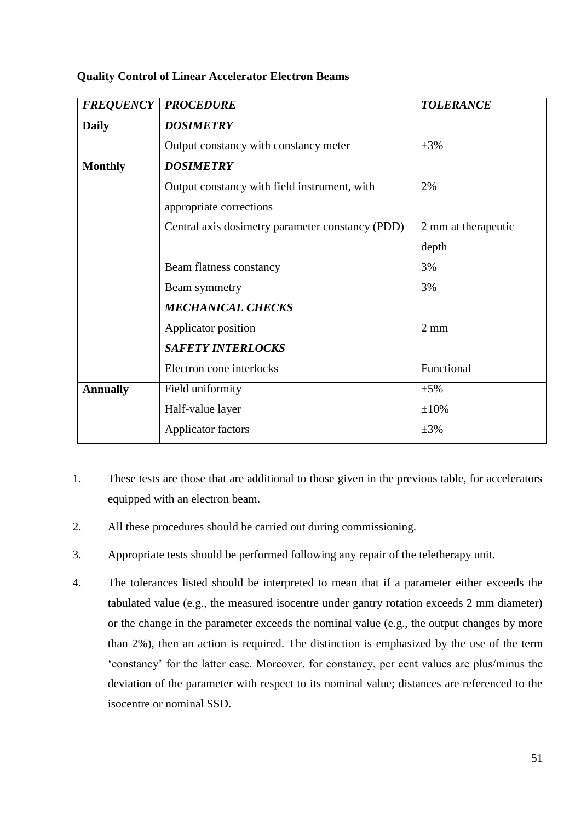## **Quality Control of Linear Accelerator Electron Beams**

| <b>FREQUENCY</b> | <b>PROCEDURE</b>                                 | <b>TOLERANCE</b>    |
|------------------|--------------------------------------------------|---------------------|
| <b>Daily</b>     | <b>DOSIMETRY</b>                                 |                     |
|                  | Output constancy with constancy meter            | $\pm 3\%$           |
| <b>Monthly</b>   | <b>DOSIMETRY</b>                                 |                     |
|                  | Output constancy with field instrument, with     | 2%                  |
|                  | appropriate corrections                          |                     |
|                  | Central axis dosimetry parameter constancy (PDD) | 2 mm at therapeutic |
|                  |                                                  | depth               |
|                  | Beam flatness constancy                          | 3%                  |
|                  | Beam symmetry                                    | 3%                  |
|                  | <b>MECHANICAL CHECKS</b>                         |                     |
|                  | Applicator position                              | $2 \text{ mm}$      |
|                  | <b>SAFETY INTERLOCKS</b>                         |                     |
|                  | Electron cone interlocks                         | Functional          |
| <b>Annually</b>  | Field uniformity                                 | $\pm$ 5%            |
|                  | Half-value layer                                 | $\pm 10\%$          |
|                  | Applicator factors                               | $\pm 3\%$           |

- 1. These tests are those that are additional to those given in the previous table, for accelerators equipped with an electron beam.
- 2. All these procedures should be carried out during commissioning.
- 3. Appropriate tests should be performed following any repair of the teletherapy unit.
- 4. The tolerances listed should be interpreted to mean that if a parameter either exceeds the tabulated value (e.g., the measured isocentre under gantry rotation exceeds 2 mm diameter) or the change in the parameter exceeds the nominal value (e.g., the output changes by more than 2%), then an action is required. The distinction is emphasized by the use of the term 'constancy' for the latter case. Moreover, for constancy, per cent values are plus/minus the deviation of the parameter with respect to its nominal value; distances are referenced to the isocentre or nominal SSD.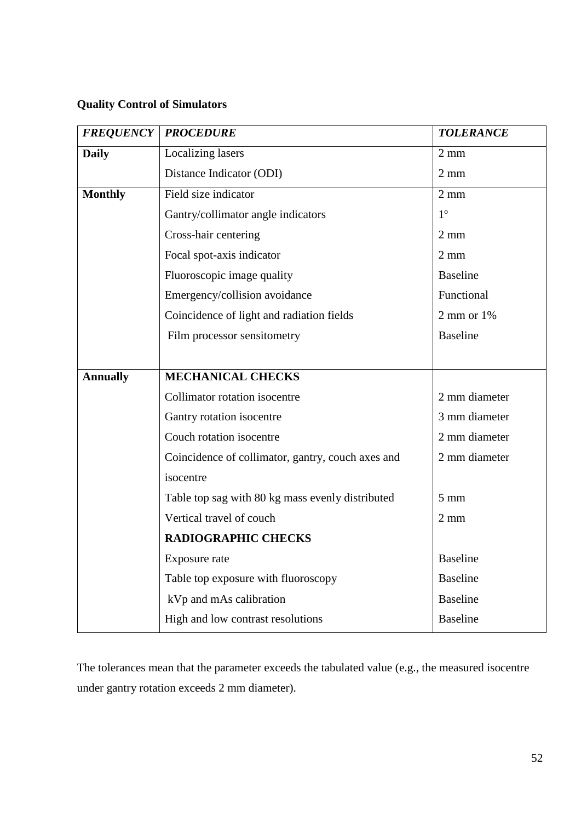## **Quality Control of Simulators**

| <b>FREQUENCY</b> | <b>PROCEDURE</b>                                  | <b>TOLERANCE</b> |
|------------------|---------------------------------------------------|------------------|
| <b>Daily</b>     | Localizing lasers                                 | $2 \text{ mm}$   |
|                  | Distance Indicator (ODI)                          | $2 \text{ mm}$   |
| <b>Monthly</b>   | Field size indicator                              | $2 \text{ mm}$   |
|                  | Gantry/collimator angle indicators                | $1^{\circ}$      |
|                  | Cross-hair centering                              | $2 \text{ mm}$   |
|                  | Focal spot-axis indicator                         | $2 \text{ mm}$   |
|                  | Fluoroscopic image quality                        | <b>Baseline</b>  |
|                  | Emergency/collision avoidance                     | Functional       |
|                  | Coincidence of light and radiation fields         | $2$ mm or $1\%$  |
|                  | Film processor sensitometry                       | <b>Baseline</b>  |
|                  |                                                   |                  |
| <b>Annually</b>  | <b>MECHANICAL CHECKS</b>                          |                  |
|                  | Collimator rotation isocentre                     | 2 mm diameter    |
|                  | Gantry rotation isocentre                         | 3 mm diameter    |
|                  | Couch rotation isocentre                          | 2 mm diameter    |
|                  | Coincidence of collimator, gantry, couch axes and | 2 mm diameter    |
|                  | isocentre                                         |                  |
|                  | Table top sag with 80 kg mass evenly distributed  | $5 \text{ mm}$   |
|                  | Vertical travel of couch                          | $2 \text{ mm}$   |
|                  | <b>RADIOGRAPHIC CHECKS</b>                        |                  |
|                  | Exposure rate                                     | <b>Baseline</b>  |
|                  | Table top exposure with fluoroscopy               | <b>Baseline</b>  |
|                  | kVp and mAs calibration                           | <b>Baseline</b>  |
|                  | High and low contrast resolutions                 | <b>Baseline</b>  |

The tolerances mean that the parameter exceeds the tabulated value (e.g., the measured isocentre under gantry rotation exceeds 2 mm diameter).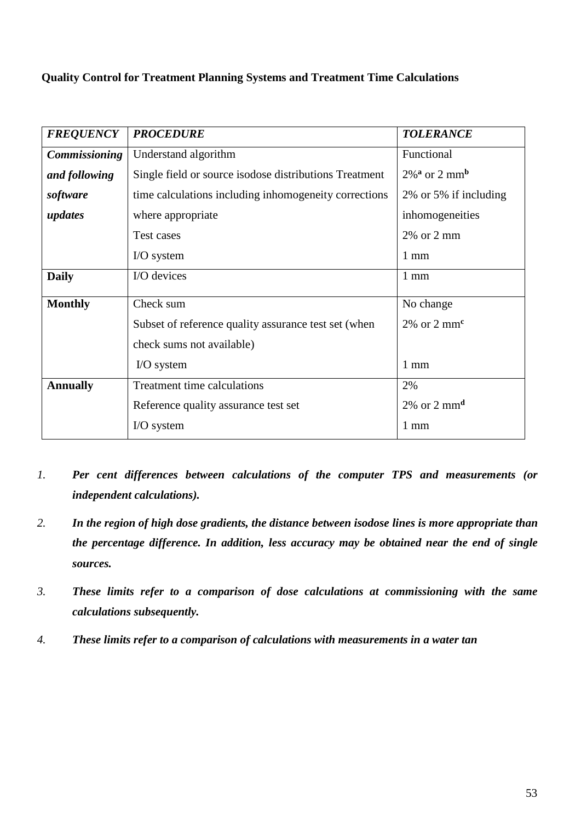## **Quality Control for Treatment Planning Systems and Treatment Time Calculations**

| <b>FREQUENCY</b>     | <b>PROCEDURE</b>                                       | <b>TOLERANCE</b>                        |
|----------------------|--------------------------------------------------------|-----------------------------------------|
| <b>Commissioning</b> | Understand algorithm                                   | Functional                              |
| and following        | Single field or source isodose distributions Treatment | $2\%$ <sup>a</sup> or 2 mm <sup>b</sup> |
| software             | time calculations including inhomogeneity corrections  | 2% or 5% if including                   |
| updates              | where appropriate                                      | inhomogeneities                         |
|                      | Test cases                                             | $2\%$ or $2 \text{ mm}$                 |
|                      | $I/O$ system                                           | $1 \text{ mm}$                          |
| <b>Daily</b>         | I/O devices                                            | $1 \text{ mm}$                          |
| <b>Monthly</b>       | Check sum                                              | No change                               |
|                      | Subset of reference quality assurance test set (when   | $2\%$ or $2 \text{ mm}^c$               |
|                      | check sums not available)                              |                                         |
|                      | $I/O system$                                           | $1 \text{ mm}$                          |
| <b>Annually</b>      | Treatment time calculations                            | 2%                                      |
|                      | Reference quality assurance test set                   | $2\%$ or $2 \text{ mm}^d$               |
|                      | $I/O$ system                                           | $1 \text{ mm}$                          |

- *1. Per cent differences between calculations of the computer TPS and measurements (or independent calculations).*
- *2. In the region of high dose gradients, the distance between isodose lines is more appropriate than the percentage difference. In addition, less accuracy may be obtained near the end of single sources.*
- *3. These limits refer to a comparison of dose calculations at commissioning with the same calculations subsequently.*
- *4. These limits refer to a comparison of calculations with measurements in a water tan*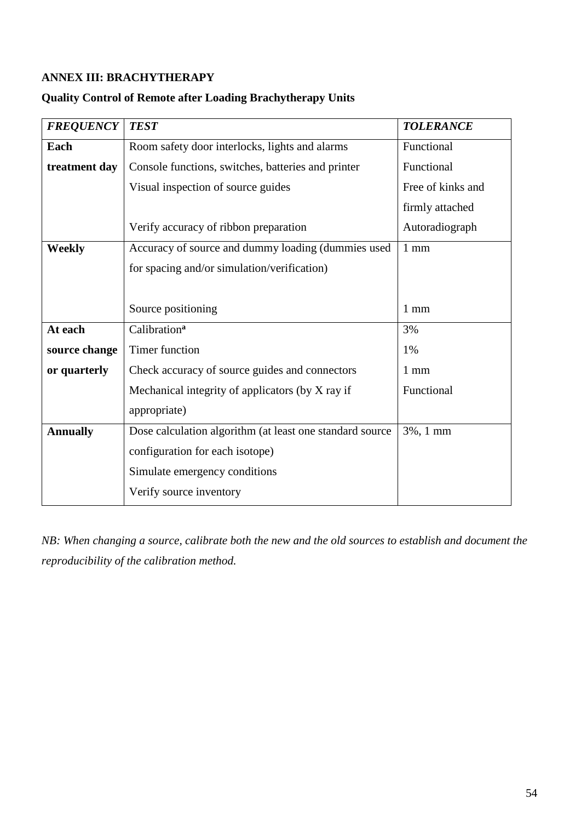## <span id="page-54-0"></span>**ANNEX III: BRACHYTHERAPY**

## **Quality Control of Remote after Loading Brachytherapy Units**

| <b>FREQUENCY</b> | <b>TEST</b>                                              | <b>TOLERANCE</b>  |
|------------------|----------------------------------------------------------|-------------------|
| Each             | Room safety door interlocks, lights and alarms           | Functional        |
| treatment day    | Console functions, switches, batteries and printer       | Functional        |
|                  | Visual inspection of source guides                       | Free of kinks and |
|                  |                                                          | firmly attached   |
|                  | Verify accuracy of ribbon preparation                    | Autoradiograph    |
| <b>Weekly</b>    | Accuracy of source and dummy loading (dummies used       | $1 \text{ mm}$    |
|                  | for spacing and/or simulation/verification)              |                   |
|                  |                                                          |                   |
|                  | Source positioning                                       | $1 \text{ mm}$    |
| At each          | Calibration <sup>a</sup>                                 | 3%                |
| source change    | <b>Timer function</b>                                    | 1%                |
| or quarterly     | Check accuracy of source guides and connectors           | $1 \text{ mm}$    |
|                  | Mechanical integrity of applicators (by X ray if         | Functional        |
|                  | appropriate)                                             |                   |
| <b>Annually</b>  | Dose calculation algorithm (at least one standard source | 3%, 1 mm          |
|                  | configuration for each isotope)                          |                   |
|                  | Simulate emergency conditions                            |                   |
|                  | Verify source inventory                                  |                   |

*NB: When changing a source, calibrate both the new and the old sources to establish and document the reproducibility of the calibration method.*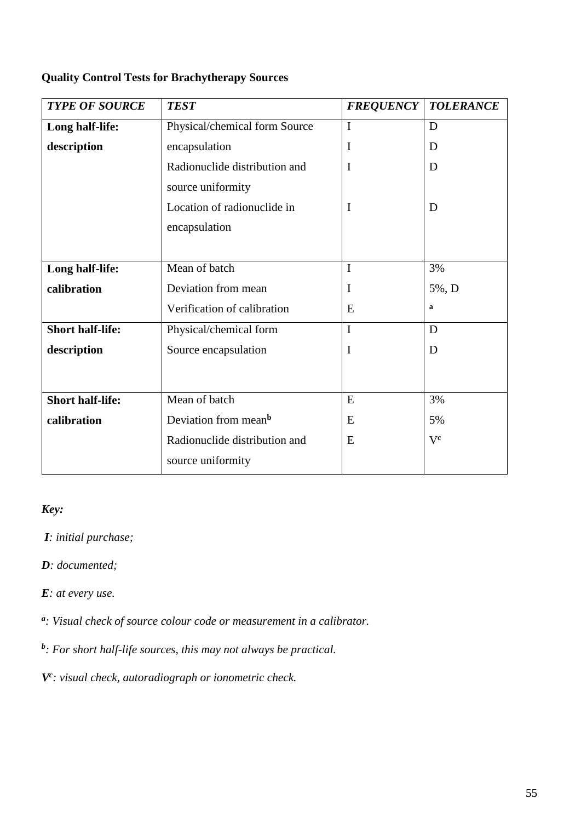## **Quality Control Tests for Brachytherapy Sources**

| <b>TYPE OF SOURCE</b>   | <b>TEST</b>                      | <b>FREQUENCY</b> | <b>TOLERANCE</b> |
|-------------------------|----------------------------------|------------------|------------------|
| Long half-life:         | Physical/chemical form Source    | I                | D                |
| description             | encapsulation                    | I<br>D           |                  |
|                         | Radionuclide distribution and    | I                | D                |
|                         | source uniformity                |                  |                  |
|                         | Location of radionuclide in      | $\mathbf I$      | D                |
|                         | encapsulation                    |                  |                  |
|                         |                                  |                  |                  |
| Long half-life:         | Mean of batch                    | I                | 3%               |
| calibration             | Deviation from mean              | I                | 5%, D            |
|                         | Verification of calibration      | E                | $\mathbf a$      |
| <b>Short half-life:</b> | Physical/chemical form           | I                | D                |
| description             | Source encapsulation             | I                | D                |
|                         |                                  |                  |                  |
| <b>Short half-life:</b> | Mean of batch                    | E                | 3%               |
| calibration             | Deviation from mean <sup>b</sup> | E                | 5%               |
|                         | Radionuclide distribution and    | E                | Vc               |
|                         | source uniformity                |                  |                  |

## *Key:*

*I: initial purchase;* 

*D: documented;* 

*E: at every use.* 

*a : Visual check of source colour code or measurement in a calibrator.* 

*b : For short half-life sources, this may not always be practical.*

*Vc : visual check, autoradiograph or ionometric check.*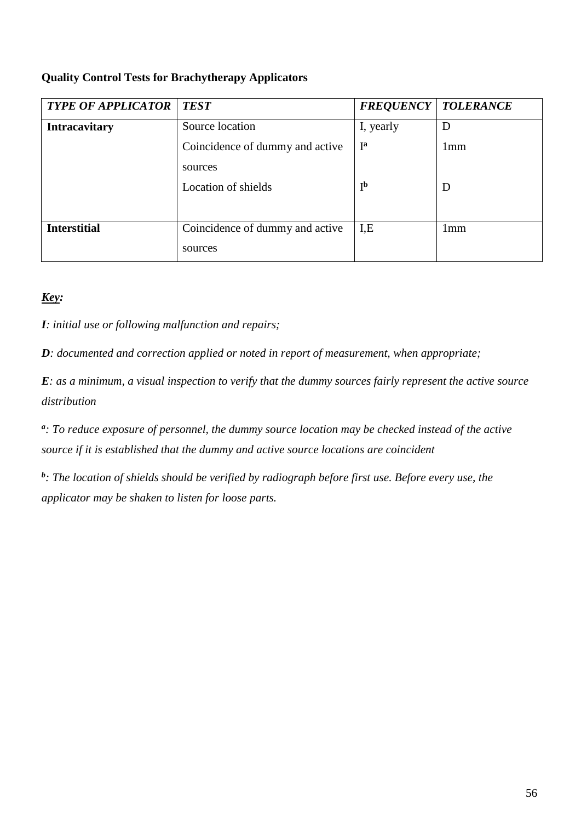## **Quality Control Tests for Brachytherapy Applicators**

| <b>TYPE OF APPLICATOR</b> | <b>TEST</b>                     | <b>FREQUENCY   TOLERANCE</b> |                 |
|---------------------------|---------------------------------|------------------------------|-----------------|
| <b>Intracavitary</b>      | Source location                 | I, yearly                    | D               |
|                           | Coincidence of dummy and active | $I^{\mathbf{a}}$             | 1 <sub>mm</sub> |
|                           | sources                         |                              |                 |
|                           | Location of shields             | I <sub>p</sub>               | D               |
|                           |                                 |                              |                 |
| <b>Interstitial</b>       | Coincidence of dummy and active | I.E                          | 1 <sub>mm</sub> |
|                           | sources                         |                              |                 |

## *Key:*

*I: initial use or following malfunction and repairs;* 

*D: documented and correction applied or noted in report of measurement, when appropriate;* 

*E: as a minimum, a visual inspection to verify that the dummy sources fairly represent the active source distribution* 

*a : To reduce exposure of personnel, the dummy source location may be checked instead of the active source if it is established that the dummy and active source locations are coincident* 

*b : The location of shields should be verified by radiograph before first use. Before every use, the applicator may be shaken to listen for loose parts.*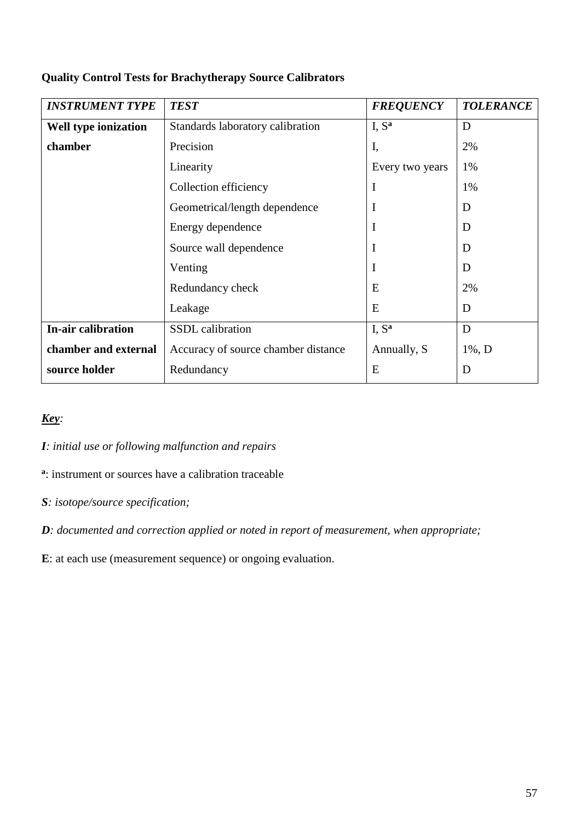| <b>INSTRUMENT TYPE</b>      | <b>TEST</b>                          | <b>FREQUENCY</b>  | <b>TOLERANCE</b> |
|-----------------------------|--------------------------------------|-------------------|------------------|
| <b>Well type ionization</b> | Standards laboratory calibration     | I, $S^a$          | D                |
| chamber                     | Precision                            | I,                | 2%               |
|                             | Linearity                            | Every two years   | 1%               |
|                             | $\mathbf I$<br>Collection efficiency |                   | 1%               |
|                             | I<br>Geometrical/length dependence   |                   | D                |
|                             | I<br>Energy dependence               |                   | D                |
|                             | Source wall dependence               | I                 | D                |
|                             | Venting                              | I                 | D                |
|                             | Redundancy check                     | E                 | 2%               |
|                             | Leakage                              | E                 | D                |
| <b>In-air calibration</b>   | SSDL calibration                     | I, S <sup>a</sup> | D                |
| chamber and external        | Accuracy of source chamber distance  | Annually, S       | $1\%, D$         |
| source holder               | Redundancy                           | E                 | D                |

## **Quality Control Tests for Brachytherapy Source Calibrators**

## *Key:*

*I: initial use or following malfunction and repairs* 

**a** : instrument or sources have a calibration traceable

*S: isotope/source specification;*

*D: documented and correction applied or noted in report of measurement, when appropriate;* 

**E**: at each use (measurement sequence) or ongoing evaluation.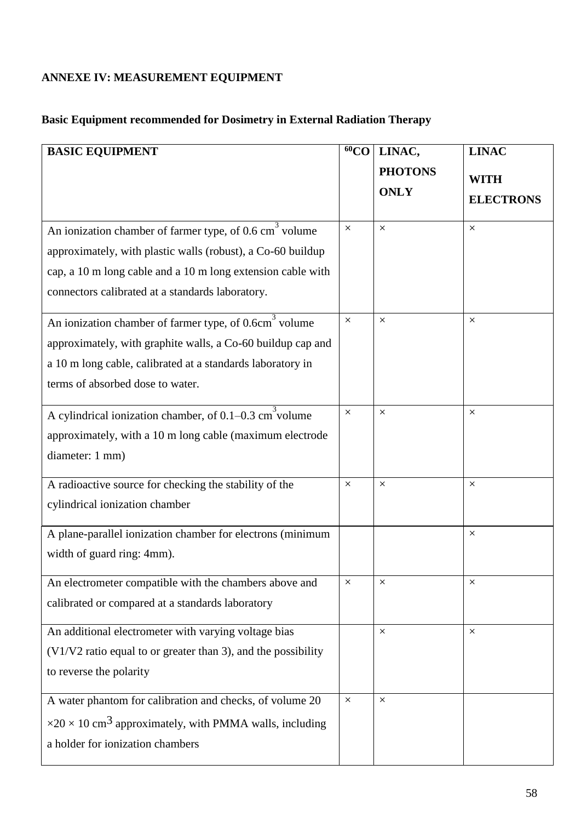# <span id="page-58-0"></span>**ANNEXE IV: MEASUREMENT EQUIPMENT**

# **Basic Equipment recommended for Dosimetry in External Radiation Therapy**

| <b>BASIC EQUIPMENT</b>                                                            |          | LINAC,         | <b>LINAC</b>     |
|-----------------------------------------------------------------------------------|----------|----------------|------------------|
|                                                                                   |          | <b>PHOTONS</b> |                  |
|                                                                                   |          | <b>ONLY</b>    | <b>WITH</b>      |
|                                                                                   |          |                | <b>ELECTRONS</b> |
| An ionization chamber of farmer type, of $0.6 \text{ cm}^3$ volume                | $\times$ | $\times$       | $\times$         |
| approximately, with plastic walls (robust), a Co-60 buildup                       |          |                |                  |
| cap, a 10 m long cable and a 10 m long extension cable with                       |          |                |                  |
| connectors calibrated at a standards laboratory.                                  |          |                |                  |
| An ionization chamber of farmer type, of 0.6cm <sup>3</sup> volume                | $\times$ | $\times$       | $\times$         |
| approximately, with graphite walls, a Co-60 buildup cap and                       |          |                |                  |
| a 10 m long cable, calibrated at a standards laboratory in                        |          |                |                  |
| terms of absorbed dose to water.                                                  |          |                |                  |
| A cylindrical ionization chamber, of $0.1-0.3$ cm <sup>3</sup> volume             | $\times$ | $\times$       | X                |
| approximately, with a 10 m long cable (maximum electrode                          |          |                |                  |
| diameter: 1 mm)                                                                   |          |                |                  |
| A radioactive source for checking the stability of the                            | $\times$ | $\times$       | X                |
| cylindrical ionization chamber                                                    |          |                |                  |
| A plane-parallel ionization chamber for electrons (minimum                        |          |                | $\times$         |
| width of guard ring: 4mm).                                                        |          |                |                  |
| An electrometer compatible with the chambers above and                            | $\times$ | X              | ×                |
| calibrated or compared at a standards laboratory                                  |          |                |                  |
| An additional electrometer with varying voltage bias                              |          | $\times$       | X                |
| (V1/V2 ratio equal to or greater than 3), and the possibility                     |          |                |                  |
| to reverse the polarity                                                           |          |                |                  |
| A water phantom for calibration and checks, of volume 20                          | $\times$ | $\times$       |                  |
| $\times$ 20 $\times$ 10 cm <sup>3</sup> approximately, with PMMA walls, including |          |                |                  |
| a holder for ionization chambers                                                  |          |                |                  |
|                                                                                   |          |                |                  |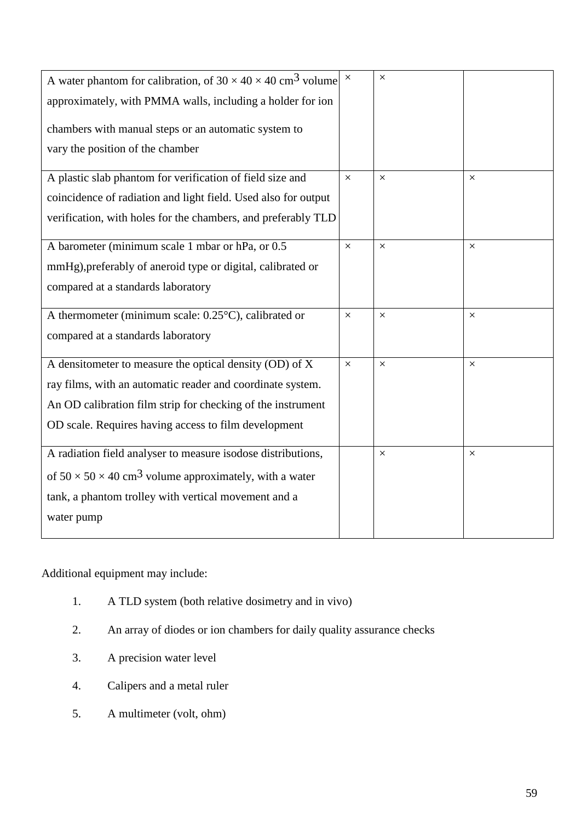| A water phantom for calibration, of 30 $\times$ 40 $\times$ 40 cm <sup>3</sup> volume $\times$ |          | $\times$ |          |
|------------------------------------------------------------------------------------------------|----------|----------|----------|
|                                                                                                |          |          |          |
| approximately, with PMMA walls, including a holder for ion                                     |          |          |          |
|                                                                                                |          |          |          |
| chambers with manual steps or an automatic system to                                           |          |          |          |
| vary the position of the chamber                                                               |          |          |          |
|                                                                                                |          |          |          |
| A plastic slab phantom for verification of field size and                                      | $\times$ | $\times$ | $\times$ |
| coincidence of radiation and light field. Used also for output                                 |          |          |          |
| verification, with holes for the chambers, and preferably TLD                                  |          |          |          |
|                                                                                                |          |          |          |
| A barometer (minimum scale 1 mbar or hPa, or 0.5                                               | $\times$ | $\times$ | $\times$ |
| mmHg), preferably of aneroid type or digital, calibrated or                                    |          |          |          |
| compared at a standards laboratory                                                             |          |          |          |
|                                                                                                |          |          |          |
| A thermometer (minimum scale: $0.25^{\circ}$ C), calibrated or                                 |          | $\times$ | $\times$ |
| compared at a standards laboratory                                                             |          |          |          |
|                                                                                                |          |          |          |
| A densitometer to measure the optical density (OD) of X                                        | $\times$ | $\times$ | $\times$ |
| ray films, with an automatic reader and coordinate system.                                     |          |          |          |
| An OD calibration film strip for checking of the instrument                                    |          |          |          |
|                                                                                                |          |          |          |
| OD scale. Requires having access to film development                                           |          |          |          |
| A radiation field analyser to measure isodose distributions,                                   |          | $\times$ | $\times$ |
|                                                                                                |          |          |          |
| of $50 \times 50 \times 40$ cm <sup>3</sup> volume approximately, with a water                 |          |          |          |
| tank, a phantom trolley with vertical movement and a                                           |          |          |          |
| water pump                                                                                     |          |          |          |
|                                                                                                |          |          |          |

Additional equipment may include:

- 1. A TLD system (both relative dosimetry and in vivo)
- 2. An array of diodes or ion chambers for daily quality assurance checks
- 3. A precision water level
- 4. Calipers and a metal ruler
- 5. A multimeter (volt, ohm)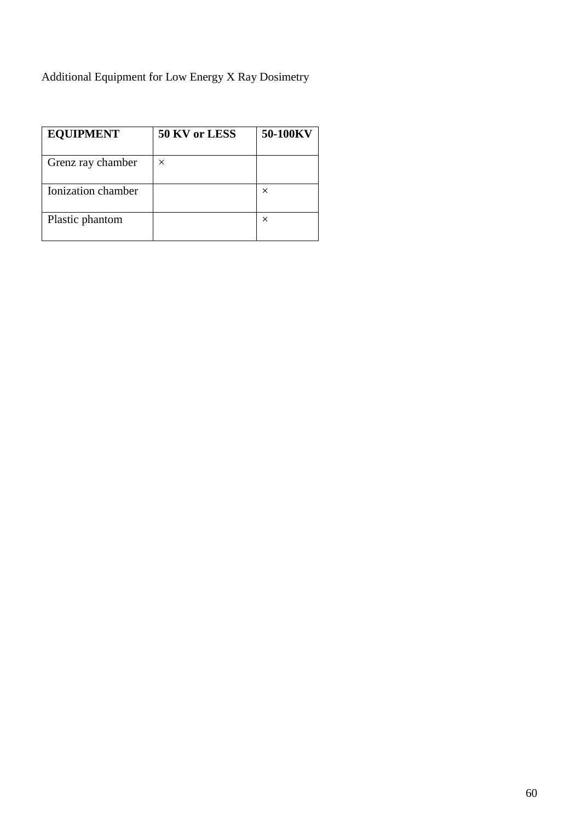# Additional Equipment for Low Energy X Ray Dosimetry

| <b>EQUIPMENT</b>   | 50 KV or LESS | 50-100KV |
|--------------------|---------------|----------|
| Grenz ray chamber  | $\times$      |          |
| Ionization chamber |               | ×        |
| Plastic phantom    |               | ×        |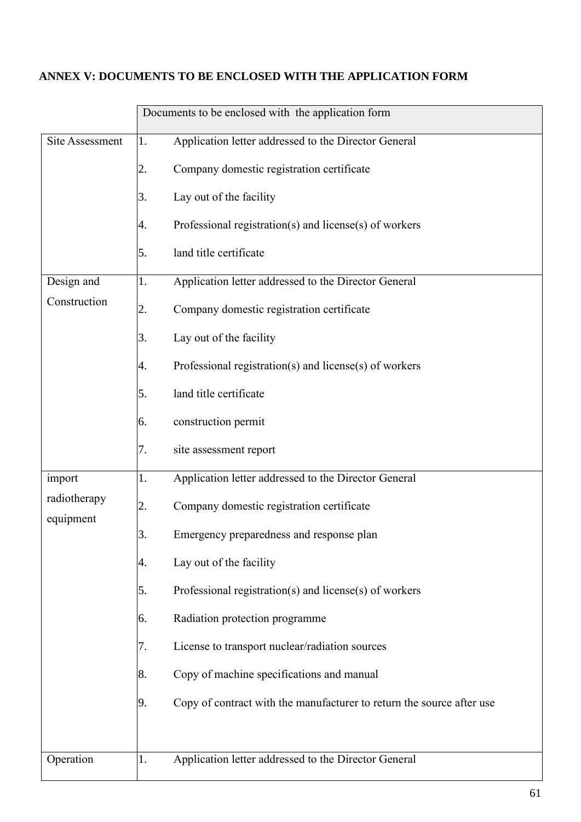## <span id="page-61-0"></span>**ANNEX V: DOCUMENTS TO BE ENCLOSED WITH THE APPLICATION FORM**

|                           | Documents to be enclosed with the application form                          |
|---------------------------|-----------------------------------------------------------------------------|
| Site Assessment           | Application letter addressed to the Director General<br>1.                  |
|                           | Company domestic registration certificate<br>2.                             |
|                           | Lay out of the facility<br>3.                                               |
|                           | Professional registration(s) and license(s) of workers<br>4.                |
|                           | land title certificate<br>5.                                                |
| Design and                | Application letter addressed to the Director General<br>1.                  |
| Construction              | Company domestic registration certificate<br>2.                             |
|                           | Lay out of the facility<br>3.                                               |
|                           | Professional registration(s) and license(s) of workers<br>4.                |
|                           | land title certificate<br>5.                                                |
|                           | construction permit<br>6.                                                   |
|                           | site assessment report<br>7.                                                |
| import                    | Application letter addressed to the Director General<br>1.                  |
| radiotherapy<br>equipment | Company domestic registration certificate<br>2.                             |
|                           | 3.<br>Emergency preparedness and response plan                              |
|                           | Lay out of the facility<br>4.                                               |
|                           | Professional registration(s) and license(s) of workers<br>5.                |
|                           | Radiation protection programme<br>6.                                        |
|                           | License to transport nuclear/radiation sources<br>7.                        |
|                           | Copy of machine specifications and manual<br>8.                             |
|                           | Copy of contract with the manufacturer to return the source after use<br>9. |
|                           |                                                                             |
| Operation                 | Application letter addressed to the Director General<br>1.                  |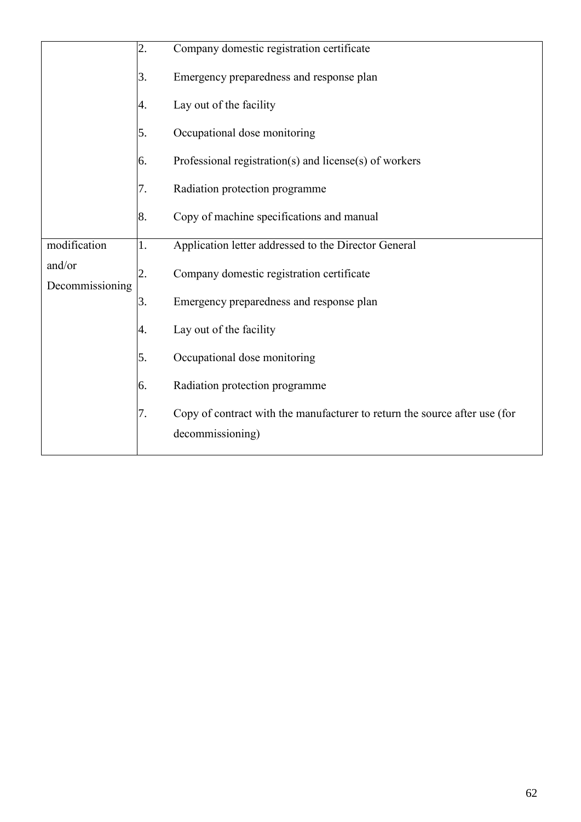|                           | 2. | Company domestic registration certificate                                                      |
|---------------------------|----|------------------------------------------------------------------------------------------------|
|                           | 3. | Emergency preparedness and response plan                                                       |
|                           | 4. | Lay out of the facility                                                                        |
|                           | 5. | Occupational dose monitoring                                                                   |
|                           | 6. | Professional registration(s) and license(s) of workers                                         |
|                           | 7. | Radiation protection programme                                                                 |
|                           | 8. | Copy of machine specifications and manual                                                      |
| modification              | 1. | Application letter addressed to the Director General                                           |
| and/or<br>Decommissioning | 2. | Company domestic registration certificate                                                      |
|                           | 3. | Emergency preparedness and response plan                                                       |
|                           | 4. | Lay out of the facility                                                                        |
|                           | 5. | Occupational dose monitoring                                                                   |
|                           | 6. | Radiation protection programme                                                                 |
|                           | 7. | Copy of contract with the manufacturer to return the source after use (for<br>decommissioning) |
|                           |    |                                                                                                |